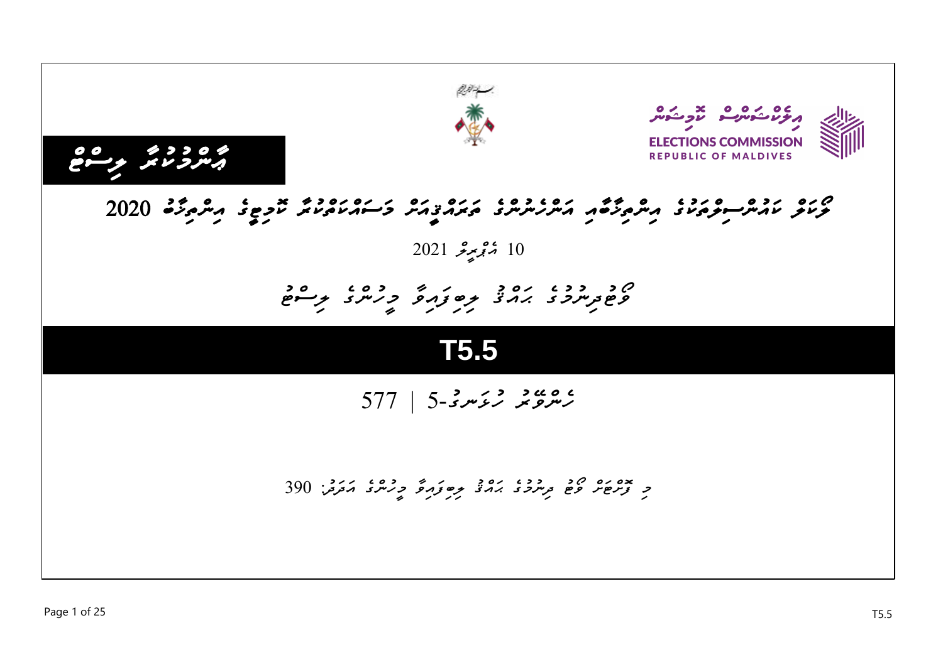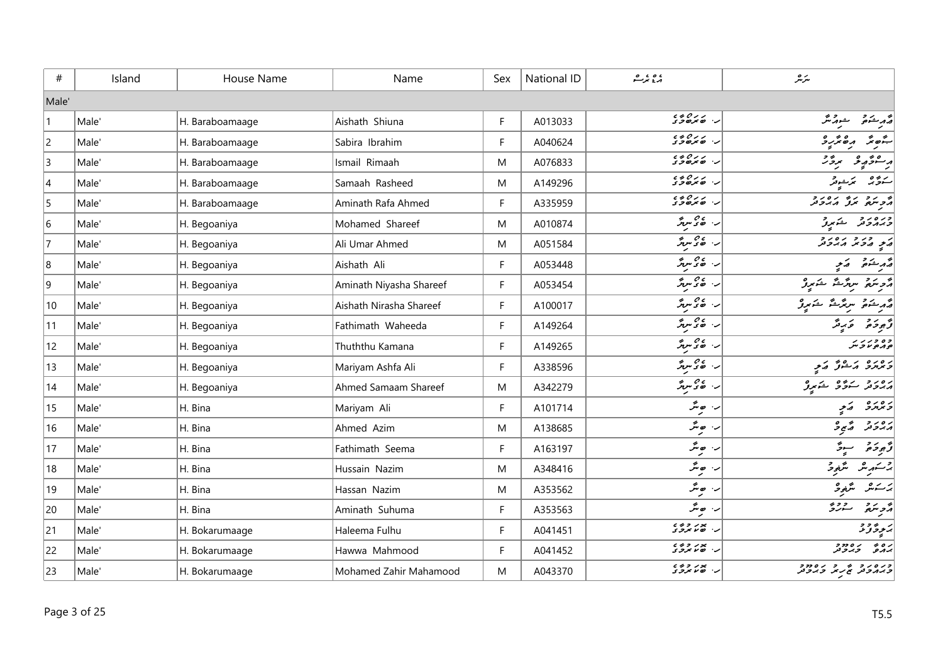| #              | Island | House Name      | Name                    | Sex | National ID | ، ه ، بر <u>م</u>                                                                                      | يترىثر                                                 |
|----------------|--------|-----------------|-------------------------|-----|-------------|--------------------------------------------------------------------------------------------------------|--------------------------------------------------------|
| Male'          |        |                 |                         |     |             |                                                                                                        |                                                        |
| 1              | Male'  | H. Baraboamaage | Aishath Shiuna          | F   | A013033     | ر ره ده د<br>ر۰ کامونگان                                                                               | مەر شەھ ھەر شورتىگر                                    |
| 2              | Male'  | H. Baraboamaage | Sabira Ibrahim          | F   | A040624     | $\begin{array}{c} 0.40000\\ 0.400000\\ \end{array}$                                                    | ەھ ئۈرۈ<br>بثوءثه                                      |
| <sub>3</sub>   | Male'  | H. Baraboamaage | Ismail Rimaah           | M   | A076833     | $\begin{array}{c} 0.90000\\ 0.900000 \end{array}$                                                      | وسنومو بروز                                            |
| $\overline{4}$ | Male'  | H. Baraboamaage | Samaah Rasheed          | M   | A149296     | $\frac{c}{c}$                                                                                          | كروه بمشوش                                             |
| $\overline{5}$ | Male'  | H. Baraboamaage | Aminath Rafa Ahmed      | F   | A335959     | ر ره ده د<br>ر• ځم <del>ر</del> ه و د                                                                  | أأروس المرور والمردور                                  |
| $\overline{6}$ | Male'  | H. Begoaniya    | Mohamed Shareef         | M   | A010874     | ر. ھۇسرىگر                                                                                             | وبروبرو ستهور                                          |
| 7              | Male'  | H. Begoaniya    | Ali Umar Ahmed          | M   | A051584     | ر. جي سرگر                                                                                             | و و و د و ده د و                                       |
| 8              | Male'  | H. Begoaniya    | Aishath Ali             | F   | A053448     | $\stackrel{0}{\mathcal{H}}\stackrel{0}{\mathcal{G}}\stackrel{0}{\mathcal{G}}\stackrel{0}{\mathcal{G}}$ | أقهر مشتوق أقدمي                                       |
| $ 9\rangle$    | Male'  | H. Begoaniya    | Aminath Niyasha Shareef | F   | A053454     | ر. چې سرگه                                                                                             | ەگەمەتە سەدىقە ئەيدۇ.<br>مەر ئىمۇ سەدىقە ئەيدۇ.        |
| 10             | Male'  | H. Begoaniya    | Aishath Nirasha Shareef | F   | A100017     | $50 - 50$                                                                                              |                                                        |
| 11             | Male'  | H. Begoaniya    | Fathimath Waheeda       | F   | A149264     | ر. ۲۵۵ سرگر                                                                                            | وَجوحَرَمَ وَرِمَّزَ                                   |
| 12             | Male'  | H. Begoaniya    | Thuththu Kamana         | F   | A149265     | $\stackrel{0}{\mathcal{M}}\stackrel{0}{\mathcal{S}}\stackrel{0}{\mathcal{O}}\cdot\mathcal{S}$          | وه ور ر ر<br>مورمونا <del>و</del> س                    |
| 13             | Male'  | H. Begoaniya    | Mariyam Ashfa Ali       | F.  | A338596     | ر. چې سرگه                                                                                             | د ه ده د ده و په د                                     |
| 14             | Male'  | H. Begoaniya    | Ahmed Samaam Shareef    | M   | A342279     | $rac{1}{2}$                                                                                            | رەر دىر ئۆرگە                                          |
| 15             | Male'  | H. Bina         | Mariyam Ali             | F.  | A101714     | ر. ھىتر                                                                                                | د وره دي                                               |
| 16             | Male'  | H. Bina         | Ahmed Azim              | M   | A138685     | ر. ھىتر                                                                                                | بر ه بر د<br>م <i>. ب</i> ر <del>د</del> تر<br>ە ئىم ئ |
| 17             | Male'  | H. Bina         | Fathimath Seema         | F   | A163197     | ر. ھىتر                                                                                                | سيرڈ<br>وحجوحهم                                        |
| 18             | Male'  | H. Bina         | Hussain Nazim           | M   | A348416     | ر.<br>مەنبە                                                                                            | ج <sub>ى</sub> سكەر بىگە<br>سگفجر ثر                   |
| 19             | Male'  | H. Bina         | Hassan Nazim            | M   | A353562     | ر.<br>مقر                                                                                              | ىز سەشر سى <i>ن</i> مۇ                                 |
| 20             | Male'  | H. Bina         | Aminath Suhuma          | F   | A353563     | ر. ھىگە                                                                                                | أثربر مرد<br>سترقر                                     |
| 21             | Male'  | H. Bokarumaage  | Haleema Fulhu           | F   | A041451     | $\begin{array}{ccc} c & o & o & \times & \times \\ c & o & \times & \times & \times \end{array}$       | پزېږي:                                                 |
| 22             | Male'  | H. Bokarumaage  | Hawwa Mahmood           | F.  | A041452     | 59918.                                                                                                 | ره د ره دد و<br>بردگر کربرگر                           |
| 23             | Male'  | H. Bokarumaage  | Mohamed Zahir Mahamood  | M   | A043370     | $\frac{c}{c}$ , $\frac{c}{c}$ , $\frac{c}{c}$                                                          |                                                        |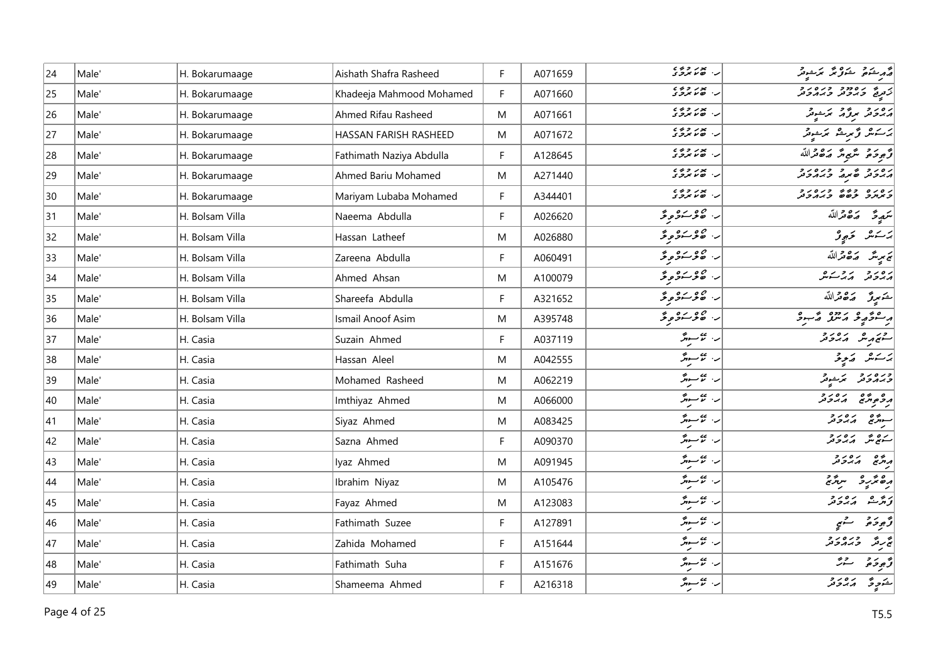| 24 | Male' | H. Bokarumaage  | Aishath Shafra Rasheed   | F         | A071659 | $\frac{c\otimes c\otimes c}{c\otimes c\otimes c\otimes c}$ | أور مشتر أو أن المحر المراشوقر                 |
|----|-------|-----------------|--------------------------|-----------|---------|------------------------------------------------------------|------------------------------------------------|
| 25 | Male' | H. Bokarumaage  | Khadeeja Mahmood Mohamed | F         | A071660 | $\frac{c}{c}$                                              | ر دره د ۱۵ وره د و<br>زېږخ ورونر ورمدونر       |
| 26 | Male' | H. Bokarumaage  | Ahmed Rifau Rasheed      | ${\sf M}$ | A071661 | 59918.                                                     | أرود و برؤاز الرشوش                            |
| 27 | Male' | H. Bokarumaage  | HASSAN FARISH RASHEED    | M         | A071672 | 59998                                                      | يَرْسَمْسُ وَّسِرِكْ سَرْجُوشْ                 |
| 28 | Male' | H. Bokarumaage  | Fathimath Naziya Abdulla | F         | A128645 | $\frac{c\otimes c\otimes c}{c\otimes c\otimes c}$          | قَرْجِرْحَمْ مُتَّبِعٍ مَنْ مَقْدَاللَّهُ      |
| 29 | Male' | H. Bokarumaage  | Ahmed Bariu Mohamed      | ${\sf M}$ | A271440 | 59998                                                      | נ סניכן מיני פניסניכן<br>גנפינג שיתון פניגבינג |
| 30 | Male' | H. Bokarumaage  | Mariyam Lubaba Mohamed   | F         | A344401 | 59998                                                      | נ סנס כשש כנסנכ<br>כמתכ בסם כנובע              |
| 31 | Male' | H. Bolsam Villa | Naeema Abdulla           | F         | A026620 | ر. ھۇسۇرمۇ                                                 | بتمدِرَّ مَصْغَرَاللَّهُ                       |
| 32 | Male' | H. Bolsam Villa | Hassan Latheef           | M         | A026880 | ر. ھۇسۇرمۇ                                                 | پرېشر <sub>م</sub> ې تو <sub>م</sub> و ژ       |
| 33 | Male' | H. Bolsam Villa | Zareena Abdulla          | F         | A060491 | ر. ھۇسۇمۇمۇ                                                | تم میںمَّر   تم <sup>9</sup> قراللّه           |
| 34 | Male' | H. Bolsam Villa | Ahmed Ahsan              | M         | A100079 | ر. ھۇسۇھ بۇ                                                | أرور والمرار مركب                              |
| 35 | Male' | H. Bolsam Villa | Shareefa Abdulla         | F         | A321652 | ر. ھۇسۇھ بۇ                                                | شەمبەتر كەھەتراللە                             |
| 36 | Male' | H. Bolsam Villa | Ismail Anoof Asim        | M         | A395748 | ر. ھۇسكۇمۇ                                                 | ر عو ده در ده و د کرده                         |
| 37 | Male' | H. Casia        | Suzain Ahmed             | F         | A037119 | ر، عنوستر                                                  | جيم په کم کره د د                              |
| 38 | Male' | H. Casia        | Hassan Aleel             | ${\sf M}$ | A042555 | ر. ئۈسىدۇ                                                  | پرستانلار اړکمونونی                            |
| 39 | Male' | H. Casia        | Mohamed Rasheed          | ${\sf M}$ | A062219 | ر. ئاسىق                                                   | ورەرو برىيوتر                                  |
| 40 | Male' | H. Casia        | Imthiyaz Ahmed           | M         | A066000 | ر به عنوانگر                                               | 0400 1010                                      |
| 41 | Male' | H. Casia        | Siyaz Ahmed              | M         | A083425 | ر. ئۇسىزگە                                                 | ده ده دو                                       |
| 42 | Male' | H. Casia        | Sazna Ahmed              | F         | A090370 | ر. ئۇسىزگە                                                 | سەچ شەر ئەرەر د                                |
| 43 | Male' | H. Casia        | lyaz Ahmed               | M         | A091945 | ر. ئاسىدۇ                                                  | پره پر د<br>لروشح                              |
| 44 | Male' | H. Casia        | Ibrahim Niyaz            | M         | A105476 | ر. " سەدگە                                                 | أرە ئۇرۇ سرگرى                                 |
| 45 | Male' | H. Casia        | Fayaz Ahmed              | M         | A123083 | ر. ئاسىقە                                                  | ا ئەم <sup>تە</sup> ر ھ<br>ەرەر                |
| 46 | Male' | H. Casia        | Fathimath Suzee          | F         | A127891 | ر. " سەدگە                                                 | قەم ئەسىم ئىسىم بىر                            |
| 47 | Male' | H. Casia        | Zahida Mohamed           | F         | A151644 | ر، عامسة محمد                                              | غریرقر دیرورو                                  |
| 48 | Male' | H. Casia        | Fathimath Suha           | F         | A151676 | ر، ممبس پیشر<br>ر                                          | و مرد<br>اقرام در م<br>ر حريح                  |
| 49 | Male' | H. Casia        | Shameema Ahmed           | F         | A216318 | ر. "ماسىدە ئە                                              | شَرِيرَة كَمَارَة مِنْ                         |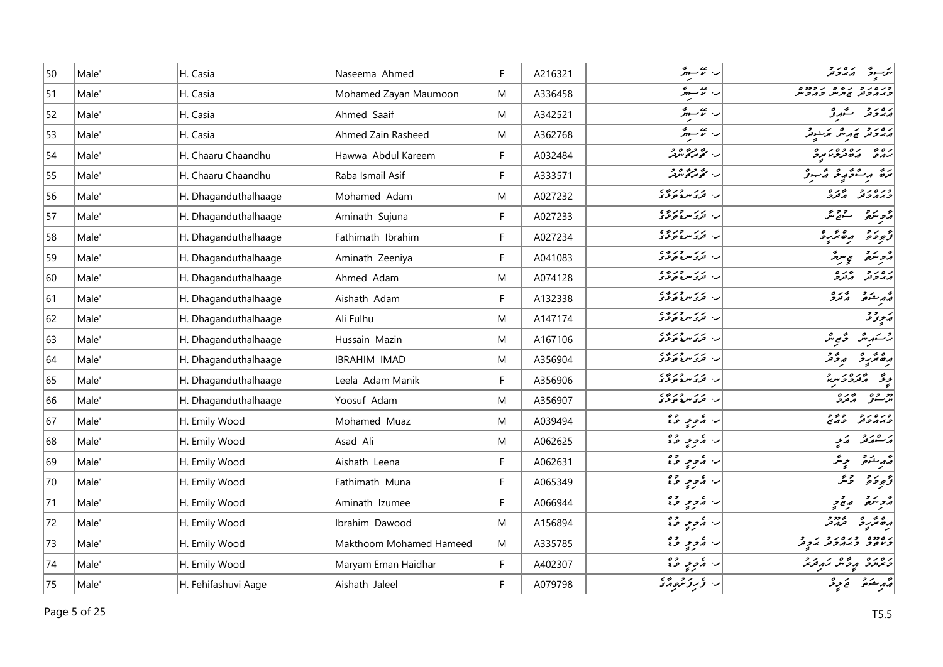| 50 | Male' | H. Casia             | Naseema Ahmed           | F           | A216321 | ر، عنوستر                                 | يترسيق - م يره مرد                                 |
|----|-------|----------------------|-------------------------|-------------|---------|-------------------------------------------|----------------------------------------------------|
| 51 | Male' | H. Casia             | Mohamed Zayan Maumoon   | M           | A336458 | ر. ئاسىدۇ                                 | כנסג כ-ג'וס ג'כדכם<br>ק'ג'וג'כ"ט, אינייט, ק'וג'כ"ט |
| 52 | Male' | H. Casia             | Ahmed Saaif             | M           | A342521 | ر. عو سودگر                               | دەرو ھەدى                                          |
| 53 | Male' | H. Casia             | Ahmed Zain Rasheed      | M           | A362768 | ر، عباسهڙ                                 | أرور و بر مر بر موسو                               |
| 54 | Male' | H. Chaaru Chaandhu   | Hawwa Abdul Kareem      | $\mathsf F$ | A032484 | ر. ، مُحْمَدُ مُحَمَّسْ مَرْمَر           | رەپ رەدەر ۋ                                        |
| 55 | Male' | H. Chaaru Chaandhu   | Raba Ismail Asif        | F           | A333571 | ر. گوگوگوگوگوگو                           | برە مەشرەپرو ئەسور                                 |
| 56 | Male' | H. Dhaganduthalhaage | Mohamed Adam            | M           | A027232 | ر کر کر دی دی.<br>ر کرک سره گرمی ک        | ورەر د درە<br><i>دىد</i> ەرىر مەر <i>و</i>         |
| 57 | Male' | H. Dhaganduthalhaage | Aminath Sujuna          | $\mathsf F$ | A027233 | ر در دره ده د<br>ر . ترد سره بوتر د       | ړ په ده ده شومتر                                   |
| 58 | Male' | H. Dhaganduthalhaage | Fathimath Ibrahim       | F           | A027234 | ر کر کر دی دی.<br>ر کری سره بحرای ی       | أزوده مقتر                                         |
| 59 | Male' | H. Dhaganduthalhaage | Aminath Zeeniya         | F           | A041083 | ر در در دره د<br>ر· ترد سره بوترد         | أأزجر سنتمر بمعج سرمر                              |
| 60 | Male' | H. Dhaganduthalhaage | Ahmed Adam              | M           | A074128 | ر کرکر سرچ کرید ہے<br>روک کرکٹ سرچ ای کرک | پەر ە<br>مەنىرى<br>پروژو                           |
| 61 | Male' | H. Dhaganduthalhaage | Aishath Adam            | F           | A132338 | ر کرکر سرچ کرید ہے<br>روک کرکٹ سرچ ای کرک | پور ہ<br>مرکزو<br>ا پژ <sub>هر مشوحه</sub>         |
| 62 | Male' | H. Dhaganduthalhaage | Ali Fulhu               | ${\sf M}$   | A147174 | ر در درده در<br>ر· ترک سره گروی           | لەردىز                                             |
| 63 | Male' | H. Dhaganduthalhaage | Hussain Mazin           | ${\sf M}$   | A167106 | ر کر کر دی دی.<br>ر کرک سره گرمی ک        | يزعتر شر ومحي ملا                                  |
| 64 | Male' | H. Dhaganduthalhaage | <b>IBRAHIM IMAD</b>     | ${\sf M}$   | A356904 | ر کر کر دی دی.<br>ر کری سره بحرای ی       |                                                    |
| 65 | Male' | H. Dhaganduthalhaage | Leela Adam Manik        | F           | A356906 | ر در درد ده<br>ر کری سره گولوی            | وقد " أن أن وتربع                                  |
| 66 | Male' | H. Dhaganduthalhaage | Yoosuf Adam             | ${\sf M}$   | A356907 | ر .<br>ر . ترک سره گونز ی                 | در مره<br>مرگسه پو<br>پور ہ<br>پر تر تر            |
| 67 | Male' | H. Emily Wood        | Mohamed Muaz            | M           | A039494 | ر. ځومو و؟                                | و د د<br>تر در س<br>و ره ر و<br><i>و بر</i> د تر   |
| 68 | Male' | H. Emily Wood        | Asad Ali                | M           | A062625 | ر. کار ده ده                              | ړه ده کمنې                                         |
| 69 | Male' | H. Emily Wood        | Aishath Leena           | $\mathsf F$ | A062631 | ر، ډوپو و،                                | اند بر شده.<br>ا                                   |
| 70 | Male' | H. Emily Wood        | Fathimath Muna          | $\mathsf F$ | A065349 | ر، کمرو وی                                | تر شر<br>و مر د<br>اقرامو خاص                      |
| 71 | Male' | H. Emily Wood        | Aminath Izumee          | F           | A066944 | ر، کمونو و؟                               | أأروسكو الرجمي                                     |
| 72 | Male' | H. Emily Wood        | Ibrahim Dawood          | ${\sf M}$   | A156894 | $\frac{1}{2}$                             | د ه تر ده دور و در در در ا                         |
| 73 | Male' | H. Emily Wood        | Makthoom Mohamed Hameed | M           | A335785 | ر. ډوپو و؟                                | ג 2000 כגם גם גם.<br>המים 3 הנוקב גם גם גם         |
| 74 | Male' | H. Emily Wood        | Maryam Eman Haidhar     | F           | A402307 | ر. ځومو و؟                                | وبرمرو إرؤيمر تهرمز                                |
| 75 | Male' | H. Fehifashuvi Aage  | Aishath Jaleel          | F           | A079798 | ر كۆرۈگرۈپەتى                             | أقهر شكاح المحافي                                  |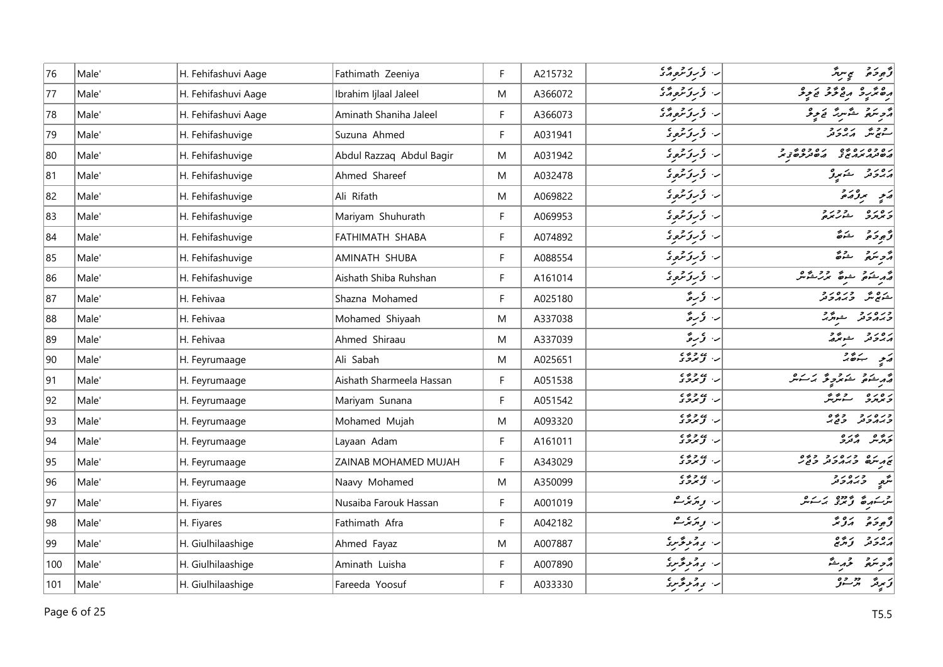| 76  | Male' | H. Fehifashuvi Aage | Fathimath Zeeniya        | F         | A215732 | ر کورکوکرو د کا                       | قَهْ وَجَعْرَ مَمْ مِسْرَدٌ                                                                          |
|-----|-------|---------------------|--------------------------|-----------|---------|---------------------------------------|------------------------------------------------------------------------------------------------------|
| 77  | Male' | H. Fehifashuvi Aage | Ibrahim Ijlaal Jaleel    | M         | A366072 | ر . تۇرتەترە پەيج                     | ە ئەرە بەق ئۇ قام ئالىرى بار ئالىرى كەن ئالىرى ئالىرى ئالىرى ئالىرى ئالىرى كەن ئالىرى كەن ئالىرى ئال |
| 78  | Male' | H. Fehifashuvi Aage | Aminath Shaniha Jaleel   | F         | A366073 | ~ ۇرۇنزە قرق                          | أأوسكم المشرك فالمحيث                                                                                |
| 79  | Male' | H. Fehifashuvige    | Suzuna Ahmed             | F         | A031941 | ر. ۋرۇنروڭ                            | ج ج ش م بره بر و                                                                                     |
| 80  | Male' | H. Fehifashuvige    | Abdul Razzaq Abdul Bagir | ${\sf M}$ | A031942 | ر. ۇرۇنرو ئ                           | ג 2000 שם ה 2000 כ<br>הסנג הג ה 2000 הסנג ה                                                          |
| 81  | Male' | H. Fehifashuvige    | Ahmed Shareef            | M         | A032478 | ر . ۇرۇترەپچ                          | دەر د شەمرىژ                                                                                         |
| 82  | Male' | H. Fehifashuvige    | Ali Rifath               | ${\sf M}$ | A069822 | ر . ۇرۇشرە                            | أربح بروره                                                                                           |
| 83  | Male' | H. Fehifashuvige    | Mariyam Shuhurath        | F         | A069953 | ر . ۇرۇترەپچ                          | ر ه ر ه<br><del>ر</del> بربر ژ<br>و و ر د<br>شور بود <sub>ه</sub>                                    |
| 84  | Male' | H. Fehifashuvige    | FATHIMATH SHABA          | F         | A074892 | ر . ۇرۇتروتۇ                          | ا تو پر چه د<br>شذة                                                                                  |
| 85  | Male' | H. Fehifashuvige    | AMINATH SHUBA            | F         | A088554 | ر . ۇرۇشرە ؟                          | أزجر شروع والمشرورة                                                                                  |
| 86  | Male' | H. Fehifashuvige    | Aishath Shiba Ruhshan    | F         | A161014 | ر. ۇرۇنرو ئ                           | ۇرىشەم بىرە دەپ بۇر                                                                                  |
| 87  | Male' | H. Fehivaa          | Shazna Mohamed           | F         | A025180 | ر، ڈرڈ                                | شەھ شەھ دەر د                                                                                        |
| 88  | Male' | H. Fehivaa          | Mohamed Shiyaah          | ${\sf M}$ | A337038 | ر . ڈروٌ                              | وره رو در دو.<br>د بر بروتر شورگر                                                                    |
| 89  | Male' | H. Fehivaa          | Ahmed Shiraau            | M         | A337039 | ر، ڈرڈ                                | ره ر و در و د<br>(پرسرتر مشویزی                                                                      |
| 90  | Male' | H. Feyrumaage       | Ali Sabah                | ${\sf M}$ | A025651 | ر، بی وی با<br>ر، نخ مرو ب            | $282 + 28$                                                                                           |
| 91  | Male' | H. Feyrumaage       | Aishath Sharmeela Hassan | F         | A051538 | ر، در و در د<br>ر۰ تو بوری            | ۇرىئو ئورۇپۇ باش                                                                                     |
| 92  | Male' | H. Feyrumaage       | Mariyam Sunana           | F         | A051542 | ر، بروه بر<br>ر، تو برو د             | رەرە ئەرە                                                                                            |
| 93  | Male' | H. Feyrumaage       | Mohamed Mujah            | M         | A093320 | ر به و و به<br>ر · تخ مورد و          | وره رو وده<br><i>وب</i> ه وتوبر                                                                      |
| 94  | Male' | H. Feyrumaage       | Layaan Adam              | F         | A161011 | ر، در و در د<br>ر. تو بور و د         | تروم وره                                                                                             |
| 95  | Male' | H. Feyrumaage       | ZAINAB MOHAMED MUJAH     | F         | A343029 | ر به وه و<br>ر کو مرو و               | د مره در در د وده<br>په مره د بر د در د ول                                                           |
| 96  | Male' | H. Feyrumaage       | Naavy Mohamed            | M         | A350099 | ر ، ء و ه ء<br>ر · تو بوری            | شمع وبره د و                                                                                         |
| 97  | Male' | H. Fiyares          | Nusaiba Farouk Hassan    | F         | A001019 | ر، پوهرتگر شه                         | برسكرة ومعزوج برسكس                                                                                  |
| 98  | Male' | H. Fiyares          | Fathimath Afra           | F         | A042182 | <sub>س</sub> . پ <sub>ر</sub> پر ټر گ | و ده ده پ                                                                                            |
| 99  | Male' | H. Giulhilaashige   | Ahmed Fayaz              | M         | A007887 | ر ، پرېږموگرنگه                       | أبرور و روه                                                                                          |
| 100 | Male' | H. Giulhilaashige   | Aminath Luisha           | F         | A007890 | ر. بەر ئوقرىرى                        | أأزجر ستراكح ومراجح                                                                                  |
| 101 | Male' | H. Giulhilaashige   | Fareeda Yoosuf           | F         | A033330 | ر ، پرېږموگرونکا                      | ا توپېژگر ده د ده کل                                                                                 |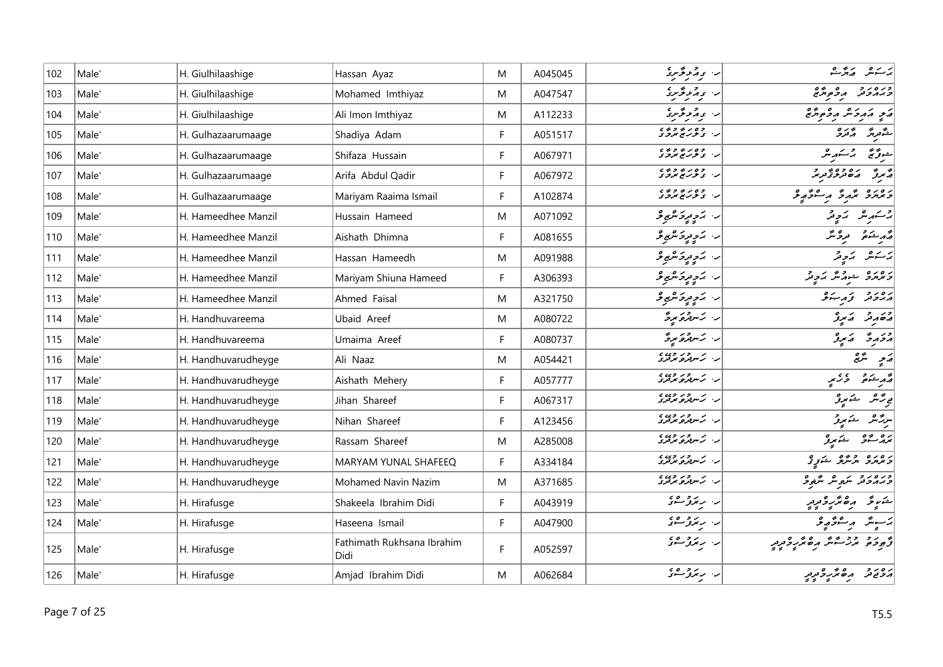| 102 | Male' | H. Giulhilaashige   | Hassan Ayaz                        | M  | A045045 | ر ، پرېژبوتوتوتو                           | يرسكاش الدائر شر                                  |
|-----|-------|---------------------|------------------------------------|----|---------|--------------------------------------------|---------------------------------------------------|
| 103 | Male' | H. Giulhilaashige   | Mohamed Imthiyaz                   | M  | A047547 | ر ، <sub>تو</sub> ړنو تورو                 | כנסנכ סיפים<br>בגתכת <mark>תכ</mark> פת <u>א</u>  |
| 104 | Male' | H. Giulhilaashige   | Ali Imon Imthiyaz                  | M  | A112233 | ر ، <sub>تە</sub> رتموقرىرى<br>كەنزىر      | ړنو په پرځنګر ټروگورگو                            |
| 105 | Male' | H. Gulhazaarumaage  | Shadiya Adam                       | F  | A051517 | وه د به وي ء<br>ر• ک محرمتی بود ک          | پور ہ<br>مرکز ژ<br>احتذورتر                       |
| 106 | Male' | H. Gulhazaarumaage  | Shifaza Hussain                    | F  | A067971 | وه د بر و د ء<br>ر۰ ک مخرس تنم مرحر ی      | جوڙيج پڙڪريش                                      |
| 107 | Male' | H. Gulhazaarumaage  | Arifa Abdul Qadir                  | F. | A067972 | وه د بر و د ء<br>ر۰ ک محرم تم تنزحر ی      | ر ٥ ٥ ٥ ٥ ٠<br>پرڪ تر ويج تر بر<br>پر<br>پر سر تر |
| 108 | Male' | H. Gulhazaarumaage  | Mariyam Raaima Ismail              | F  | A102874 | وه د به وي د<br>ر۰ ک بورنځ بوچ ی           | במתכ מוכל וגיילות ב                               |
| 109 | Male' | H. Hameedhee Manzil | Hussain Hameed                     | M  | A071092 |                                            | يز ستهر شه السيو پر په مختلف                      |
| 110 | Male' | H. Hameedhee Manzil | Aishath Dhimna                     | F  | A081655 | ر. ټروپروکري و                             | ړُ د شَوَ د درو سَر                               |
| 111 | Male' | H. Hameedhee Manzil | Hassan Hameedh                     | M  | A091988 | ر، ټروپروگرې و                             | پرستمبر  پر چر                                    |
| 112 | Male' | H. Hameedhee Manzil | Mariyam Shiuna Hameed              | F  | A306393 | ر . ئەدىرەكسى ۋ                            | دەرە ھەر ئىچە                                     |
| 113 | Male' | H. Hameedhee Manzil | Ahmed Faisal                       | M  | A321750 | ر. ئەۋەردىگىي ۋ                            | برەرد ۋەبىكى                                      |
| 114 | Male' | H. Handhuvareema    | <b>Ubaid Areef</b>                 | M  | A080722 | ر، ئەسترۇپرۇ                               | ה לה ה תו                                         |
| 115 | Male' | H. Handhuvareema    | Umaima Areef                       | F. | A080737 | ر. كەس گەنجەنى                             | لرئزمر<br>ە ئىبرى                                 |
| 116 | Male' | H. Handhuvarudheyge | Ali Naaz                           | M  | A054421 | ر . ک سرچرو پر وي ،<br>ر . ک سرچرو بوچری   | سرچ<br>لهزمج                                      |
| 117 | Male' | H. Handhuvarudheyge | Aishath Mehery                     | F  | A057777 | ر . ک سربر و در و د .<br>ر . ک سربرو مربرد | ورممير<br>و مر شو د<br>مر                         |
| 118 | Male' | H. Handhuvarudheyge | Jihan Shareef                      | F  | A067317 |                                            | ت <sub>و</sub> رٌ شَرَ پِرُ وَ                    |
| 119 | Male' | H. Handhuvarudheyge | Nihan Shareef                      | F. | A123456 | ر . ک سرچرو پر وي ،<br>ر . ک سرچرو بوچری   | سررتمىثر<br>ىشەمىرۇ                               |
| 120 | Male' | H. Handhuvarudheyge | Rassam Shareef                     | M  | A285008 | ر . که سرچر وي ،<br>ر . که سرچر بو جرچر ي  | ر ه په ه<br>برد شو<br>شەمرىر                      |
| 121 | Male' | H. Handhuvarudheyge | MARYAM YUNAL SHAFEEQ               | F  | A334184 | ر . ک سرچرو پر وي ،<br>ر . ک سرچرو بوچری   | رەرە دېرو شرړ                                     |
| 122 | Male' | H. Handhuvarudheyge | Mohamed Navin Nazim                | M  | A371685 | ر . ک سربر و در و د<br>ر . ک سربرو مربرد   | ورەرو برەپر سەرى                                  |
| 123 | Male' | H. Hirafusge        | Shakeela Ibrahim Didi              | F  | A043919 | ر. رېزۇرقىمۇ                               | شكېر ئۇ بەھ ئۈر ئەربىر                            |
| 124 | Male' | H. Hirafusge        | Haseena Ismail                     | F. | A047900 | ر، رېزۇشى                                  | ىزىسىتر بەستۇپچ                                   |
| 125 | Male' | H. Hirafusge        | Fathimath Rukhsana Ibrahim<br>Didi | F  | A052597 | ار. رېزۇرغۇ                                |                                                   |
| 126 | Male' | H. Hirafusge        | Amjad Ibrahim Didi                 | M  | A062684 | ار. رېمرو <u>مونه</u>                      | رەرر رەپرىۋىرىر                                   |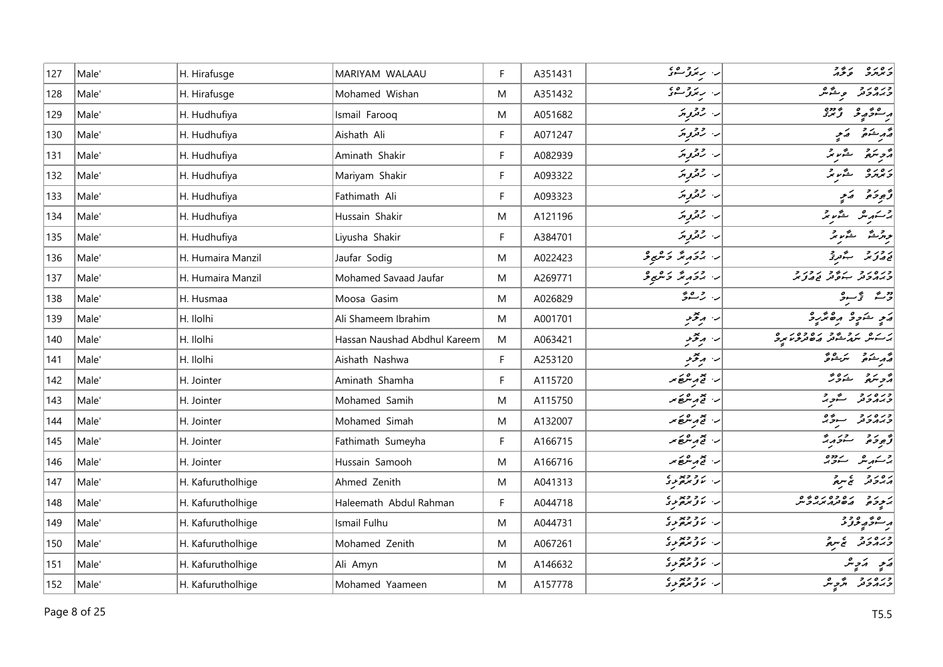| 127 | Male' | H. Hirafusge      | MARIYAM WALAAU               | F           | A351431 | لەر سەرقەمىي<br>—                    | ر ه ر ه<br>ىرىچە                                                                                                                                                                                                                    |
|-----|-------|-------------------|------------------------------|-------------|---------|--------------------------------------|-------------------------------------------------------------------------------------------------------------------------------------------------------------------------------------------------------------------------------------|
| 128 | Male' | H. Hirafusge      | Mohamed Wishan               | M           | A351432 | ر. رىزۇشۇ                            | ە پەشەنگە<br>و ره ر و<br><i>د ب</i> رگرفر                                                                                                                                                                                           |
| 129 | Male' | H. Hudhufiya      | Ismail Farooq                | M           | A051682 | ر. رژو در                            | یر دو ہ<br>تر محرکی<br>ىر سىز ئەر بىر<br>س                                                                                                                                                                                          |
| 130 | Male' | H. Hudhufiya      | Aishath Ali                  | F           | A071247 | ر. رژو و تر                          | وكرمشتموا وكمج                                                                                                                                                                                                                      |
| 131 | Male' | H. Hudhufiya      | Aminath Shakir               | F           | A082939 | ر. ژنژو پژ                           | ڪ موسمه<br>م<br>پ <sup>و</sup> پر سرچ                                                                                                                                                                                               |
| 132 | Male' | H. Hudhufiya      | Mariyam Shakir               | F           | A093322 | ر. رژو و تر                          | وبروره<br>شەرىر                                                                                                                                                                                                                     |
| 133 | Male' | H. Hudhufiya      | Fathimath Ali                | F           | A093323 | ر. ژوگرو کر                          | وٌودَهُ مَی                                                                                                                                                                                                                         |
| 134 | Male' | H. Hudhufiya      | Hussain Shakir               | M           | A121196 | ر. رژو و تر                          | رىسكىرىش ئىش <i>رىر</i><br>مەسكىرىش                                                                                                                                                                                                 |
| 135 | Male' | H. Hudhufiya      | Liyusha Shakir               | F           | A384701 | ر. رژوپوټر                           | أحرار مشارعهم                                                                                                                                                                                                                       |
| 136 | Male' | H. Humaira Manzil | Jaufar Sodig                 | M           | A022423 | ر. روز رو د شهر                      | ر ور و شور و                                                                                                                                                                                                                        |
| 137 | Male' | H. Humaira Manzil | Mohamed Savaad Jaufar        | M           | A269771 | ر. رژوړنگر ژنگرېو و                  | ورەر د پر دور د در د<br>تربر برتر برتر توپر تو                                                                                                                                                                                      |
| 138 | Male' | H. Husmaa         | Moosa Gasim                  | M           | A026829 | ر. ژے پی                             | رم مي سي من المحمد التي تعليم التي تعليم التي تعليم التي تعليم التي تعليم التي تعليم التي تعليم التي<br>مناسب التي تعليم التي تعليم التي تعليم التي تعليم التي تعليم التي تعليم التي تعليم التي تعليم التي تعليم التي<br>التي تعليم |
| 139 | Male' | H. Ilolhi         | Ali Shameem Ibrahim          | M           | A001701 | ر به محرمه<br>ر                      | ړې شوږو ره پر د                                                                                                                                                                                                                     |
| 140 | Male' | H. Ilolhi         | Hassan Naushad Abdhul Kareem | M           | A063421 | ر، مەيچى                             |                                                                                                                                                                                                                                     |
| 141 | Male' | H. Ilolhi         | Aishath Nashwa               | $\mathsf F$ | A253120 | ر، مەيخو                             | أقهر مشكاة المستركية ومحمد                                                                                                                                                                                                          |
| 142 | Male' | H. Jointer        | Aminath Shamha               | F           | A115720 | ر بيور هو عد                         | أأوسكم المشور                                                                                                                                                                                                                       |
| 143 | Male' | H. Jointer        | Mohamed Samih                | M           | A115750 | ر، قيم مرهومبر                       | ورەرو گور                                                                                                                                                                                                                           |
| 144 | Male' | H. Jointer        | Mohamed Simah                | M           | A132007 | ر، قيم پر سرڪا سر                    |                                                                                                                                                                                                                                     |
| 145 | Male' | H. Jointer        | Fathimath Sumeyha            | F           | A166715 | ر، قم مرهوج مر                       | أوجوحه سنخدج                                                                                                                                                                                                                        |
| 146 | Male' | H. Jointer        | Hussain Samooh               | M           | A166716 | ر، قم پر سرچ سر                      | ج ڪهريش سوچري<br>پرڪسمبر                                                                                                                                                                                                            |
| 147 | Male' | H. Kafurutholhige | Ahmed Zenith                 | M           | A041313 | ر . گوتر پر دي.<br>ر . گوتر پرچ      |                                                                                                                                                                                                                                     |
| 148 | Male' | H. Kafurutholhige | Haleemath Abdul Rahman       | F           | A044718 | ر . گوتر چور ،<br>ر . گوتر چور ،     |                                                                                                                                                                                                                                     |
| 149 | Male' | H. Kafurutholhige | Ismail Fulhu                 | M           | A044731 | ر . گوتر پر دي.<br>ر . گوتر پر پر دي | ىر شۇ ئەم قرىر قر                                                                                                                                                                                                                   |
| 150 | Male' | H. Kafurutholhige | Mohamed Zenith               | M           | A067261 | ر . گوتر چور ،<br>ر . گوتر چونو ،    |                                                                                                                                                                                                                                     |
| 151 | Male' | H. Kafurutholhige | Ali Amyn                     | M           | A146632 | ر د د د د د ،<br>ر . ما تو بره د د   | أريح أركم ويثر                                                                                                                                                                                                                      |
| 152 | Male' | H. Kafurutholhige | Mohamed Yaameen              | M           | A157778 | ر، نوو ويو ،<br>ر، نوو برج د ي       | ورەرو پەر                                                                                                                                                                                                                           |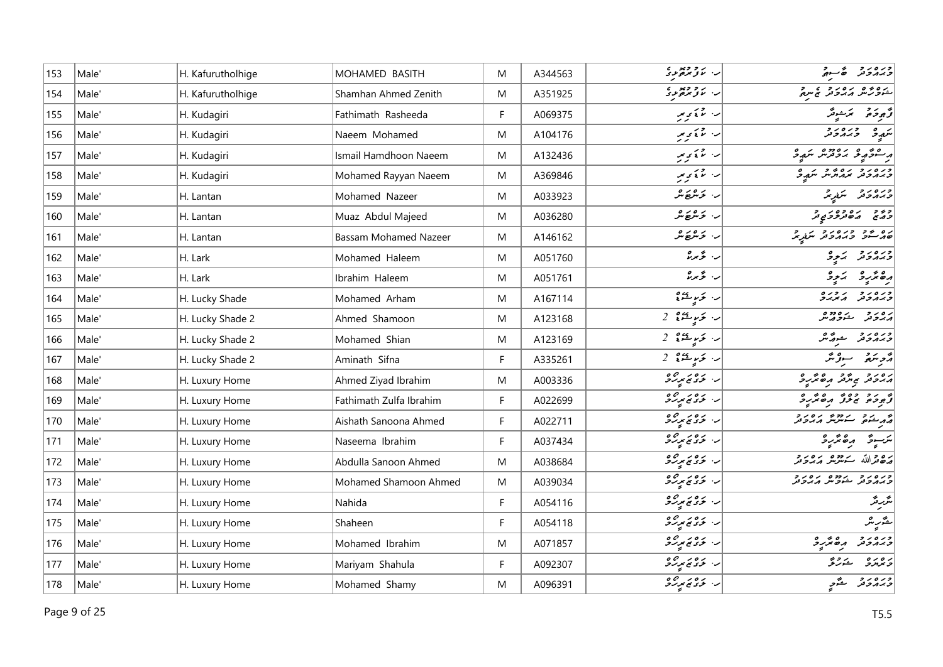| 153 | Male' | H. Kafurutholhige | MOHAMED BASITH               | M         | A344563 | ر . نو ويو<br>ر . نو ترج تر .                    | وره دو ځه                                                  |
|-----|-------|-------------------|------------------------------|-----------|---------|--------------------------------------------------|------------------------------------------------------------|
| 154 | Male' | H. Kafurutholhige | Shamhan Ahmed Zenith         | M         | A351925 | ر، نوو د بره<br>ر، نوو بره د د                   | ده وه د و د و د و                                          |
| 155 | Male' | H. Kudagiri       | Fathimath Rasheeda           | F         | A069375 | ل عمومي                                          | أرتموخا متمشوش                                             |
| 156 | Male' | H. Kudagiri       | Naeem Mohamed                | M         | A104176 | سر ځمنۍ مير                                      | سمدة ورودور                                                |
| 157 | Male' | H. Kudagiri       | Ismail Hamdhoon Naeem        | M         | A132436 | <br> س عمعی میں                                  | ر صۇرى بەدىرى ئىرە                                         |
| 158 | Male' | H. Kudagiri       | Mohamed Rayyan Naeem         | M         | A369846 | اس مع کا محاملہ                                  | כנסגב גם זב הם<br>בההכת ההחית יתהב                         |
| 159 | Male' | H. Lantan         | Mohamed Nazeer               | M         | A033923 | ر، ئۇشھۇش                                        | ورەرو شۆر                                                  |
| 160 | Male' | H. Lantan         | Muaz Abdul Majeed            | ${\sf M}$ | A036280 | ر. ئۇشۇش                                         | و د و ده وه د د و<br>د وړنځ د پره ترڅرکو تر                |
| 161 | Male' | H. Lantan         | <b>Bassam Mohamed Nazeer</b> | M         | A146162 | ر. ئۇشۇش                                         | ره دو دره دو مکرم <sup>5</sup>                             |
| 162 | Male' | H. Lark           | Mohamed Haleem               | M         | A051760 | ر . مۇيرى                                        | دره رو در بر د                                             |
| 163 | Male' | H. Lark           | Ibrahim Haleem               | M         | A051761 | ر . مۇيرى                                        | أرە ئۆر ئىسى ئىسى                                          |
| 164 | Male' | H. Lucky Shade    | Mohamed Arham                | M         | A167114 | ر. نۇرىقق                                        | כנסנכ נבנס                                                 |
| 165 | Male' | H. Lucky Shade 2  | Ahmed Shamoon                | M         | A123168 | $2 \frac{94}{100}$ $\frac{1}{20}$                | ره رو در ده ده و.<br>م.رو تر شو <i>وم</i> س                |
| 166 | Male' | H. Lucky Shade 2  | Mohamed Shian                | M         | A123169 | $2\,$ $\frac{94}{7}$ $\frac{1}{2}$ $\cdot$       | وره رو ده وه<br><i>د بر بر</i> ونر شوړ <i>نگر</i>          |
| 167 | Male' | H. Lucky Shade 2  | Aminath Sifna                | F         | A335261 | $2\,$ $2\,$ $\frac{64}{3}$ $\frac{1}{2}$ $\cdot$ | ړ ده سورنگر                                                |
| 168 | Male' | H. Luxury Home    | Ahmed Ziyad Ibrahim          | M         | A003336 | ر . نۇرىج بېرىرى                                 | גפנג <sub>מ</sub> אבר גם הקב                               |
| 169 | Male' | H. Luxury Home    | Fathimath Zulfa Ibrahim      | F         | A022699 | ر٠ ځوی پرر ده                                    | و محمد الله معاني                                          |
| 170 | Male' | H. Luxury Home    | Aishath Sanoona Ahmed        | F.        | A022711 | ر . نۇرىج بېرىرى                                 |                                                            |
| 171 | Male' | H. Luxury Home    | Naseema Ibrahim              | F         | A037434 | ر ده د مره و                                     |                                                            |
| 172 | Male' | H. Luxury Home    | Abdulla Sanoon Ahmed         | M         | A038684 | ر . نۇرىج بېررىۋ                                 | رە قراللە كەردە رەرد                                       |
| 173 | Male' | H. Luxury Home    | Mohamed Shamoon Ahmed        | M         | A039034 | ر. بروبر پرو                                     | ورەر د پردوه پرەپرو<br><i>چىنم</i> وتر شو <i>چ</i> س مەرقر |
| 174 | Male' | H. Luxury Home    | Nahida                       | F.        | A054116 | ر وه د مره و                                     | ىترىرىتر                                                   |
| 175 | Male' | H. Luxury Home    | Shaheen                      | F         | A054118 | ر . نۇرىج بېررىۋ                                 | ے<br>خوبے                                                  |
| 176 | Male' | H. Luxury Home    | Mohamed Ibrahim              | M         | A071857 | ر . ځه نو نړ چور د                               | و ره ر و<br>  <i>و بر</i> پر و تر<br>ەر ھەتئرىر ۋ          |
| 177 | Male' | H. Luxury Home    | Mariyam Shahula              | F.        | A092307 | ر . نۇرىج ئېرىر 29                               | ر ه ر ه<br><del>و</del> بربر و<br>ستذرقر                   |
| 178 | Male' | H. Luxury Home    | Mohamed Shamy                | M         | A096391 | ر . نۇرىج بېرىرى                                 | ورەر دېگر                                                  |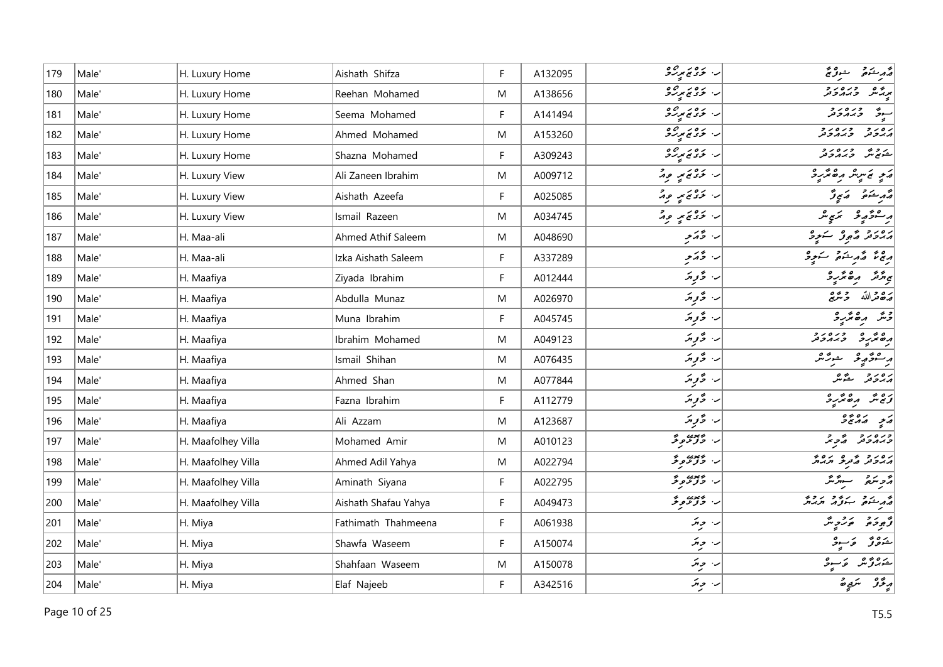| 179 | Male' | H. Luxury Home     | Aishath Shifza            | F           | A132095 | ر . نۇرىج بېرگەۋ            | محمد شوی شورخی<br>محمد شوی                                                                                         |
|-----|-------|--------------------|---------------------------|-------------|---------|-----------------------------|--------------------------------------------------------------------------------------------------------------------|
| 180 | Male' | H. Luxury Home     | Reehan Mohamed            | M           | A138656 | ر .  ئۇي ئەيررى             | برشش ورەرد                                                                                                         |
| 181 | Male' | H. Luxury Home     | Seema Mohamed             | $\mathsf F$ | A141494 | ر بەدە <i>بەدە</i>          | ب دره دره<br>به در در                                                                                              |
| 182 | Male' | H. Luxury Home     | Ahmed Mohamed             | M           | A153260 | ر . نۇرىج بېررى             | ג סגב בג סגב<br>הגב <i>עד בג</i> הב ב                                                                              |
| 183 | Male' | H. Luxury Home     | Shazna Mohamed            | F           | A309243 | ر. زه ر مړه و               | شەر ئەرەر ئە                                                                                                       |
| 184 | Male' | H. Luxury View     | Ali Zaneen Ibrahim        | M           | A009712 | ر زود نامر در               | ړنې پرسر ره پر د                                                                                                   |
| 185 | Male' | H. Luxury View     | Aishath Azeefa            | F.          | A025085 | ر نۇرىم بر ق                | و د شرح در کار دیگر دیگر<br>مرکز در سال مرکز در کار کرده در کار در کار کرده کرده برای کرده کرده کرده کرده کرده کرد |
| 186 | Male' | H. Luxury View     | Ismail Razeen             | M           | A034745 | ر کوئ تم پر واژ             | ر شۇرچى ئىي ش                                                                                                      |
| 187 | Male' | H. Maa-ali         | <b>Ahmed Athif Saleem</b> | M           | A048690 | ر. دېمبر                    |                                                                                                                    |
| 188 | Male' | H. Maa-ali         | Izka Aishath Saleem       | F           | A337289 | ر. دېمبر                    | رجء مەرىشى سىرو                                                                                                    |
| 189 | Male' | H. Maafiya         | Ziyada Ibrahim            | F           | A012444 | .<br>ا <sup>ر،</sup> قرورگر | پروگر دەنگەر 3                                                                                                     |
| 190 | Male' | H. Maafiya         | Abdulla Munaz             | M           | A026970 | ر. د گرور                   | مَصْعَرَاللّه وَسَرَج                                                                                              |
| 191 | Male' | H. Maafiya         | Muna Ibrahim              | F           | A045745 | ر، دُّوِيزَ                 | ديمه رەمۇرد                                                                                                        |
| 192 | Male' | H. Maafiya         | Ibrahim Mohamed           | M           | A049123 | ر. د څو پر                  | موه و دره در د                                                                                                     |
| 193 | Male' | H. Maafiya         | Ismail Shihan             | M           | A076435 | ر. د گرور                   | أراعتم وعراقه                                                                                                      |
| 194 | Male' | H. Maafiya         | Ahmed Shan                | M           | A077844 | ر. د څو پر                  | رەرر ئەر                                                                                                           |
| 195 | Male' | H. Maafiya         | Fazna Ibrahim             | F           | A112779 | ر. د گرور                   | وتحتر مقترره                                                                                                       |
| 196 | Male' | H. Maafiya         | Ali Azzam                 | M           | A123687 | ر. گەرىگە                   | 55.22                                                                                                              |
| 197 | Male' | H. Maafolhey Villa | Mohamed Amir              | M           | A010123 | ر په دوده و                 | בגםגב בבב                                                                                                          |
| 198 | Male' | H. Maafolhey Villa | Ahmed Adil Yahya          | M           | A022794 | ر پېړۍ وگړ                  | גם גב הצקב המת                                                                                                     |
| 199 | Male' | H. Maafolhey Villa | Aminath Siyana            | F           | A022795 | ر. په پيمه په پخ            | ۇچەسىرە سىزىتر                                                                                                     |
| 200 | Male' | H. Maafolhey Villa | Aishath Shafau Yahya      | $\mathsf F$ | A049473 | ر په پېړۍ وگ                |                                                                                                                    |
| 201 | Male' | H. Miya            | Fathimath Thahmeena       | F           | A061938 | ر. ویژ                      | أقهوخهم وتحاجيش                                                                                                    |
| 202 | Male' | H. Miya            | Shawfa Waseem             | F           | A150074 | ر، ویژ                      | أختفرق أتأريدهم                                                                                                    |
| 203 | Male' | H. Miya            | Shahfaan Waseem           | M           | A150078 | ر، ویژ                      | لەرەپ ئەسور                                                                                                        |
| 204 | Male' | H. Miya            | Elaf Najeeb               | F           | A342516 | ر، ویژ                      | أرِ قُرْ أَمْسِي فَهِ أَ                                                                                           |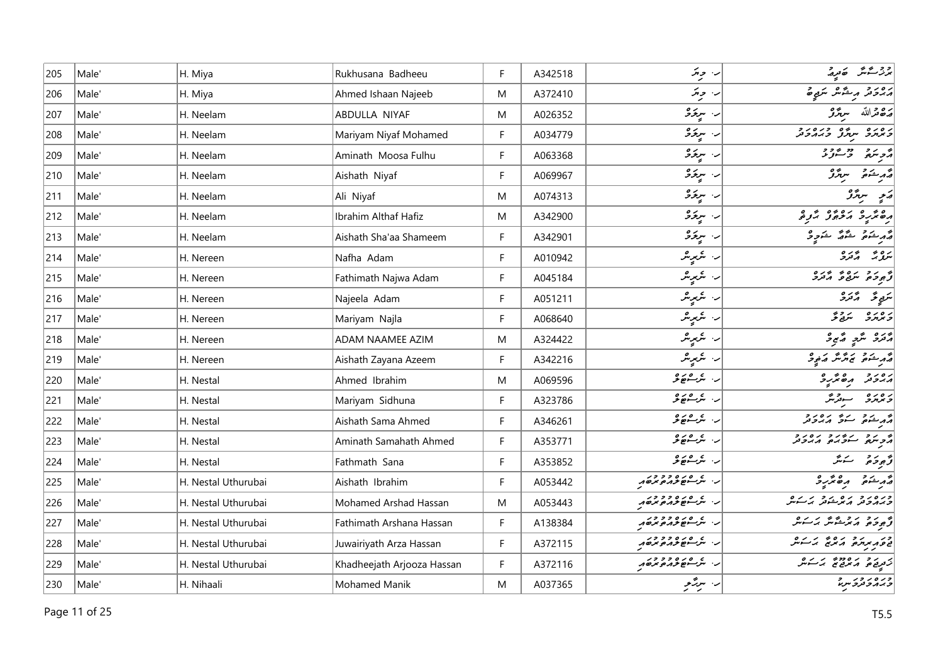| 205 | Male' | H. Miya             | Rukhusana Badheeu          | F  | A342518 | ر، ویژ                                             | پرتر شهر که توره                                                                                               |
|-----|-------|---------------------|----------------------------|----|---------|----------------------------------------------------|----------------------------------------------------------------------------------------------------------------|
| 206 | Male' | H. Miya             | Ahmed Ishaan Najeeb        | M  | A372410 | ر، ویژ                                             |                                                                                                                |
| 207 | Male' | H. Neelam           | ABDULLA NIYAF              | M  | A026352 | ر. سرىزى                                           | رە دالله سرگرو                                                                                                 |
| 208 | Male' | H. Neelam           | Mariyam Niyaf Mohamed      | F  | A034779 | ر. سرىزۇ                                           | ג סגם התום כגברה.<br>כמות כ התוצא בגברת                                                                        |
| 209 | Male' | H. Neelam           | Aminath Moosa Fulhu        | F  | A063368 | ر. سرىژۇ                                           | و ده دوره ده.<br>مرد سره و سور                                                                                 |
| 210 | Male' | H. Neelam           | Aishath Niyaf              | F  | A069967 | ر. سرىژۇ                                           | أقمر شدة سرقرقر                                                                                                |
| 211 | Male' | H. Neelam           | Ali Niyaf                  | M  | A074313 | سریز و                                             | أرشح المسترقر                                                                                                  |
| 212 | Male' | H. Neelam           | Ibrahim Althaf Hafiz       | M  | A342900 | ر. سرىژۇ                                           | رە ئرىر ئەمدە ئەرە                                                                                             |
| 213 | Male' | H. Neelam           | Aishath Sha'aa Shameem     | F  | A342901 | ر. سرىژۇ                                           | م الله عليه الله عن الله عن الله عن الله عن الله عن الله عن الله عن الله عن الله عن الله عن الله عن الله عن ال |
| 214 | Male' | H. Nereen           | Nafha Adam                 | F  | A010942 | ر. ئى <i>رىپى</i> ر                                | رەپ پەرە                                                                                                       |
| 215 | Male' | H. Nereen           | Fathimath Najwa Adam       | F. | A045184 | ر. ئىرىرىگر                                        | و و ده ده و ده                                                                                                 |
| 216 | Male' | H. Nereen           | Najeela Adam               | F  | A051211 | ر. ئىرىپرىئر                                       | سَمِعٍ قَدْ - مُرْ مَرْ مَرْ - مُرْ                                                                            |
| 217 | Male' | H. Nereen           | Mariyam Najla              | F  | A068640 | ر. ئىرىپرىئر                                       | رەرە بەدە                                                                                                      |
| 218 | Male' | H. Nereen           | ADAM NAAMEE AZIM           | M  | A324422 | ر. ئىرىپرىئر                                       | وحرو الله وحميرة                                                                                               |
| 219 | Male' | H. Nereen           | Aishath Zayana Azeem       | F. | A342216 | ر. ئىرىرىگر                                        | أقهر شنعي بم ترتش وكمني و                                                                                      |
| 220 | Male' | H. Nestal           | Ahmed Ibrahim              | M  | A069596 | ر. ئىرىشقۇ                                         | أرور وه محررة                                                                                                  |
| 221 | Male' | H. Nestal           | Mariyam Sidhuna            | F  | A323786 | ر. ئىرگەنچ                                         | رەرە سەرش<br><i>دى</i> رىرو سەرش                                                                               |
| 222 | Male' | H. Nestal           | Aishath Sama Ahmed         | F. | A346261 | ر. ئىرىشقۇ                                         |                                                                                                                |
| 223 | Male' | H. Nestal           | Aminath Samahath Ahmed     | F  | A353771 | ر. ئىرگەنچ                                         | د ده دورو ده دو.<br>مرد شي سوري مدد د                                                                          |
| 224 | Male' | H. Nestal           | Fathmath Sana              | F  | A353852 | ر. ئىرگەنچ                                         | ژ <sub>جوخ</sub> تو سنگر                                                                                       |
| 225 | Male' | H. Nestal Uthurubai | Aishath Ibrahim            | F  | A053442 | ر. مرسوم در و د و در<br>ر. مرسوم در مورم           | ومرشوقه وكالمردع                                                                                               |
| 226 | Male' | H. Nestal Uthurubai | Mohamed Arshad Hassan      | M  | A053443 | ر . مگر سوخ در و در در .<br>ر . مگر سوخ در و برخ د | ورە روپرە دوپرى كەسكىل                                                                                         |
| 227 | Male' | H. Nestal Uthurubai | Fathimath Arshana Hassan   | F  | A138384 | ه ۲۵۷۵ و د در<br>سر سوخ د مرحوم                    | ۇ بەر ئەرەپ كەن كەن بۇ                                                                                         |
| 228 | Male' | H. Nestal Uthurubai | Juwairiyath Arza Hassan    | F  | A372115 | ر . مرسوم در ۵ د و د .<br>ر . مرسوم در مورد برخه   | בפת מתפ תמש גבות                                                                                               |
| 229 | Male' | H. Nestal Uthurubai | Khadheejath Arjooza Hassan | F. | A372116 |                                                    | زېږې د ده ده برخه ش                                                                                            |
| 230 | Male' | H. Nihaali          | <b>Mohamed Manik</b>       | M  | A037365 | ر، سررگو                                           | و ر ٥ ر و ر<br>تر پر تر تون سربا                                                                               |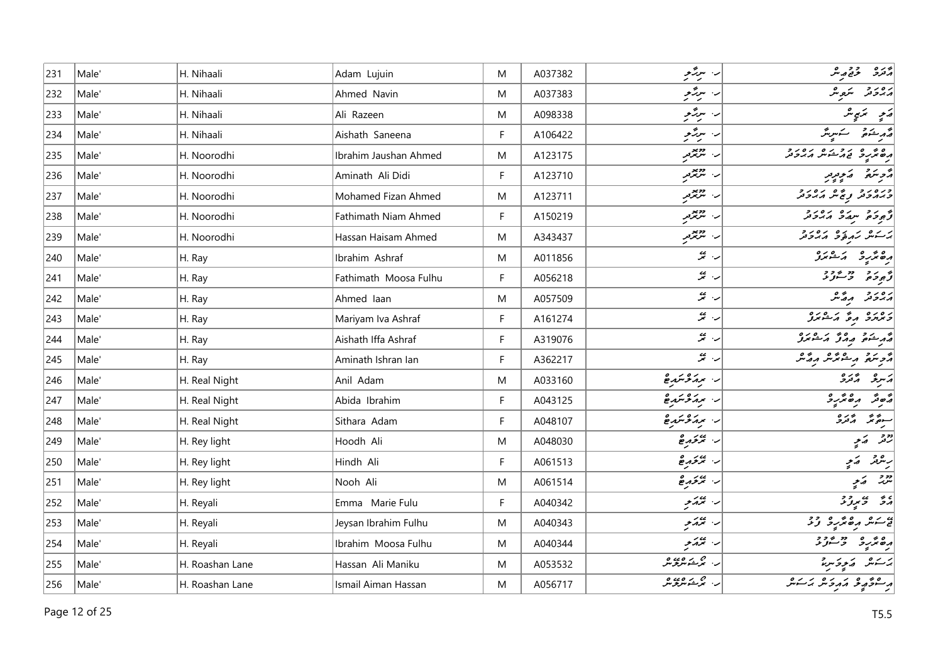| 231 | Male' | H. Nihaali      | Adam Lujuin           | M  | A037382 | ر، سررگیو<br>مسلم        | په ره<br>د ترو<br>وو پر شر                                                                                                                                                                                                       |
|-----|-------|-----------------|-----------------------|----|---------|--------------------------|----------------------------------------------------------------------------------------------------------------------------------------------------------------------------------------------------------------------------------|
| 232 | Male' | H. Nihaali      | Ahmed Navin           | M  | A037383 | ر، سررتمو                | پرەرد سكونگر                                                                                                                                                                                                                     |
| 233 | Male' | H. Nihaali      | Ali Razeen            | M  | A098338 | ر. سرگرمو<br>مر          | أەكىم ئىستى ئىس                                                                                                                                                                                                                  |
| 234 | Male' | H. Nihaali      | Aishath Saneena       | F. | A106422 | ر. سررتمو                | ۇرىشكى سىرىتر                                                                                                                                                                                                                    |
| 235 | Male' | H. Noorodhi     | Ibrahim Jaushan Ahmed | M  | A123175 | ر. دوند <sub>ور</sub>    | ر و در ه ره رو<br>ق د شوس از برونر                                                                                                                                                                                               |
| 236 | Male' | H. Noorodhi     | Aminath Ali Didi      | F  | A123710 | ر. هېچور                 | ړې شي په دولومو                                                                                                                                                                                                                  |
| 237 | Male' | H. Noorodhi     | Mohamed Fizan Ahmed   | M  | A123711 |                          |                                                                                                                                                                                                                                  |
| 238 | Male' | H. Noorodhi     | Fathimath Niam Ahmed  | F  | A150219 | ر. هېچو مو               | توجودة سمدة مددور                                                                                                                                                                                                                |
| 239 | Male' | H. Noorodhi     | Hassan Haisam Ahmed   | M  | A343437 | -- موجوبر<br>رياسترجرمبر |                                                                                                                                                                                                                                  |
| 240 | Male' | H. Ray          | Ibrahim Ashraf        | M  | A011856 | ر. می                    | مەھەر كەن ئەسىر                                                                                                                                                                                                                  |
| 241 | Male' | H. Ray          | Fathimath Moosa Fulhu | F. | A056218 | ر. می                    | $\begin{array}{cc} 2,2,6,7,8 \\ 2,3,6,7,8 \\ 3,6,7,8 \end{array}$                                                                                                                                                                |
| 242 | Male' | H. Ray          | Ahmed laan            | M  | A057509 | ر. می                    | גפגב גליל                                                                                                                                                                                                                        |
| 243 | Male' | H. Ray          | Mariyam Iva Ashraf    | F  | A161274 | ر. می                    | ג פגם הדי הביותר.<br>בינו <i>ו</i> ב הפ" ה ביותר                                                                                                                                                                                 |
| 244 | Male' | H. Ray          | Aishath Iffa Ashraf   | F  | A319076 | ر. می                    | مەر شىمى مەمۇر مەشىرى                                                                                                                                                                                                            |
| 245 | Male' | H. Ray          | Aminath Ishran Ian    | F  | A362217 | ر. می                    | أأدمره وشرائع والمقر                                                                                                                                                                                                             |
| 246 | Male' | H. Real Night   | Anil Adam             | M  | A033160 | ر برمز شریع              | ړ سری گروری<br>م                                                                                                                                                                                                                 |
| 247 | Male' | H. Real Night   | Abida Ibrahim         | F  | A043125 | ر برر و شره              |                                                                                                                                                                                                                                  |
| 248 | Male' | H. Real Night   | Sithara Adam          | F. | A048107 | ر بررگوشریح              | سوەتمە<br>پور ہ<br>مرمرو                                                                                                                                                                                                         |
| 249 | Male' | H. Rey light    | Hoodh Ali             | M  | A048030 | ر. ئۇ ئۇرغ               | جيمر ڪيمير                                                                                                                                                                                                                       |
| 250 | Male' | H. Rey light    | Hindh Ali             | F  | A061513 | ر. مجرم هم               | رىدىنە كەيپە                                                                                                                                                                                                                     |
| 251 | Male' | H. Rey light    | Nooh Ali              | M  | A061514 | ر بمحركم ه               |                                                                                                                                                                                                                                  |
| 252 | Male' | H. Reyali       | Emma Marie Fulu       | F  | A040342 | ر، تبرېز                 | ة مع المحمود و المحمد المحمد المحمد المحمد المحمد المحمد المحمد المحمد المحمد المحمد المحمد المحمد المحمد المح<br>المحمد المحمد المحمد المحمد المحمد المحمد المحمد المحمد المحمد المحمد المحمد المحمد المحمد المحمد المحمد المحم |
| 253 | Male' | H. Reyali       | Jeysan Ibrahim Fulhu  | M  | A040343 | ر. تيزېر                 | ى سىشەرە ئەرە بىرى<br>ئ                                                                                                                                                                                                          |
| 254 | Male' | H. Reyali       | Ibrahim Moosa Fulhu   | M  | A040344 | ر به تبریز               |                                                                                                                                                                                                                                  |
| 255 | Male' | H. Roashan Lane | Hassan Ali Maniku     | M  | A053532 | ر. ئۇيخشۇرگەنلە          |                                                                                                                                                                                                                                  |
| 256 | Male' | H. Roashan Lane | Ismail Aiman Hassan   | M  | A056717 | ر. گرڪسگريونگر           | ر ھۇ يۇ مەدەش بەسىر                                                                                                                                                                                                              |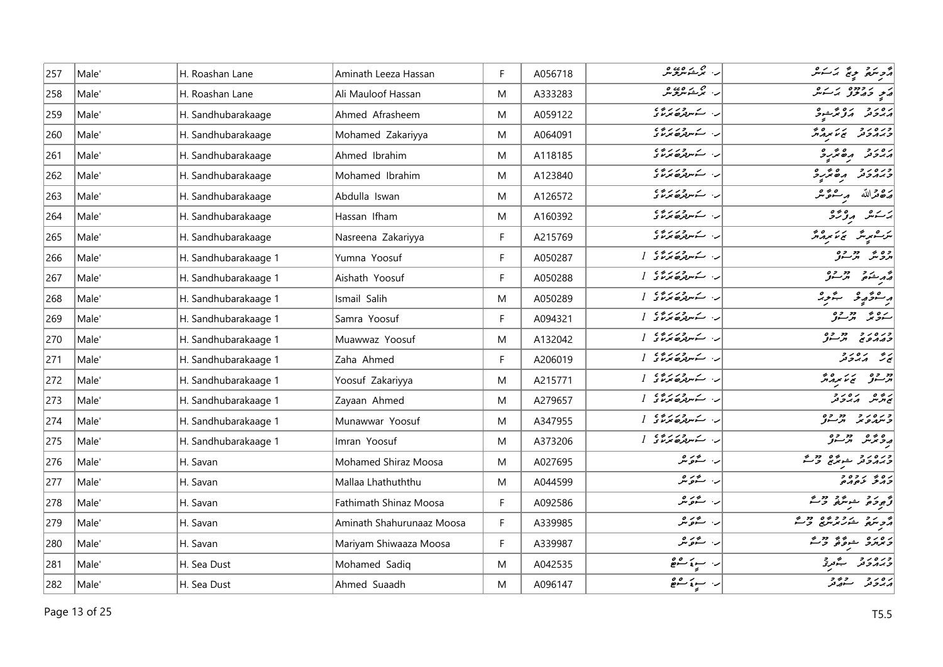| 257 | Male' | H. Roashan Lane      | Aminath Leeza Hassan      | F           | A056718 | ر. ئۇشكەنلەي ئە                                                             | أأزويتم ويخ بمسكس                        |
|-----|-------|----------------------|---------------------------|-------------|---------|-----------------------------------------------------------------------------|------------------------------------------|
| 258 | Male' | H. Roashan Lane      | Ali Mauloof Hassan        | M           | A333283 | ر. گرېخو شرکو ش                                                             | أربح والأفرق برسكس                       |
| 259 | Male' | H. Sandhubarakaage   | Ahmed Afrasheem           | M           | A059122 | ر. سەسەرى برىرى                                                             | رەرد رەپرىيو                             |
| 260 | Male' | H. Sandhubarakaage   | Mohamed Zakariyya         | M           | A064091 | ر. کشتروه بر دی                                                             | כנסנכ נגם                                |
| 261 | Male' | H. Sandhubarakaage   | Ahmed Ibrahim             | M           | A118185 | ر. شهروه بروی                                                               | גם גם הפיציב                             |
| 262 | Male' | H. Sandhubarakaage   | Mohamed Ibrahim           | M           | A123840 | ر. سەس تەرىپى                                                               | ورەرو مەمگرو                             |
| 263 | Male' | H. Sandhubarakaage   | Abdulla Iswan             | M           | A126572 | ر. کشترون برنو د                                                            | رە قراللە مەھەش                          |
| 264 | Male' | H. Sandhubarakaage   | Hassan Ifham              | ${\sf M}$   | A160392 | ر. شهروه بروی                                                               | يركبش ماؤرده                             |
| 265 | Male' | H. Sandhubarakaage   | Nasreena Zakariyya        | F           | A215769 | ر. کشهوره بر و د                                                            | ترك يرتد تم تا براز الر                  |
| 266 | Male' | H. Sandhubarakaage 1 | Yumna Yoosuf              | $\mathsf F$ | A050287 | ر. سەس ئەرەبدى 1                                                            | وه شهر دو وه                             |
| 267 | Male' | H. Sandhubarakaage 1 | Aishath Yoosuf            | F           | A050288 | ر. سەس ئەرەبمۇ ئ                                                            | ە ئەر ئىشقى ئۆزگىنى ئو                   |
| 268 | Male' | H. Sandhubarakaage 1 | Ismail Salih              | ${\sf M}$   | A050289 | ر. سەس ئەرىبى ئ                                                             | ر عۇرو سۇرۇ                              |
| 269 | Male' | H. Sandhubarakaage 1 | Samra Yoosuf              | $\mathsf F$ | A094321 | ر. سەس ئەر ئەممى ئە                                                         | سەدىكە بېزىدۇ                            |
| 270 | Male' | H. Sandhubarakaage 1 | Muawwaz Yoosuf            | M           | A132042 | ر. سەس ئەرىپ ئى                                                             | כנסנ כ כב כם<br><i>בה</i> תפיץ ת—נצ      |
| 271 | Male' | H. Sandhubarakaage 1 | Zaha Ahmed                | $\mathsf F$ | A206019 | ر. سەس ئەرىر ئەكتار                                                         | ى ئەرەر د                                |
| 272 | Male' | H. Sandhubarakaage 1 | Yoosuf Zakariyya          | M           | A215771 | ر. سەس ئەھەر ئەسى                                                           | ר כם ג'ו את היות                         |
| 273 | Male' | H. Sandhubarakaage 1 | Zayaan Ahmed              | M           | A279657 | ر. سەس ئەرەبدى 1                                                            | بر می می بره بر د<br>برخ شرکت می کرد کرد |
| 274 | Male' | H. Sandhubarakaage 1 | Munawwar Yoosuf           | M           | A347955 | ر. سەس ئەھ ئىر ئەكتى 1                                                      | בגםג בני בנ                              |
| 275 | Male' | H. Sandhubarakaage 1 | Imran Yoosuf              | M           | A373206 | ر. سەس ئەرەبمە ئ                                                            | ם זים נדרך ס<br>הכיתיית ותי-ת            |
| 276 | Male' | H. Savan             | Mohamed Shiraz Moosa      | M           | A027695 | ر. سۇغەش                                                                    | ورەرو جونگى تۇنگ                         |
| 277 | Male' | H. Savan             | Mallaa Lhathuththu        | M           | A044599 | ر. سۇرگە                                                                    | رەپە روە د<br>تەرگى ئىمەدمى              |
| 278 | Male' | H. Savan             | Fathimath Shinaz Moosa    | F           | A092586 | ر. سەھەتىر                                                                  | قُرُوحُ مُ شَرِسٌ فَي اللَّهُ وَسَنَّمَ  |
| 279 | Male' | H. Savan             | Aminath Shahurunaaz Moosa | F           | A339985 | ر. سۇرگە                                                                    | د کرد درد دوه «د.»                       |
| 280 | Male' | H. Savan             | Mariyam Shiwaaza Moosa    | F.          | A339987 | ر. سەر بىر                                                                  | د ۱۶ ه د څرگه د حسنه                     |
| 281 | Male' | H. Sea Dust          | Mohamed Sadiq             | M           | A042535 | ر. ب پاڻو                                                                   | ورەر دېر پ                               |
| 282 | Male' | H. Sea Dust          | Ahmed Suaadh              | M           | A096147 | $\overbrace{\mathbf{e}}^{\circ\circ}\mathbf{e}_{\mathbf{e}}\longrightarrow$ | ره ر و دو.<br>پرېږې سوړنو                |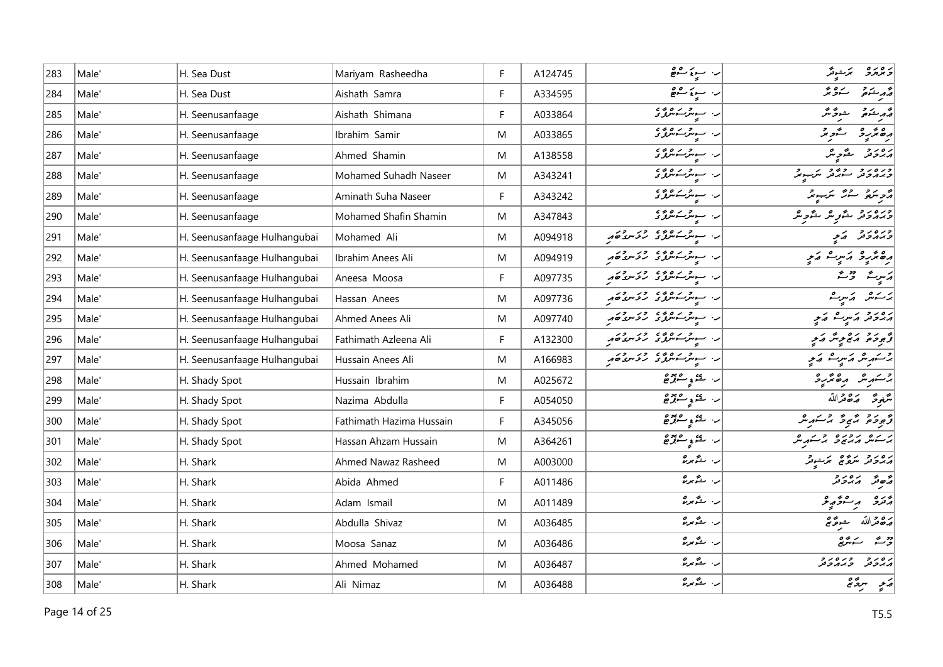| 283 | Male' | H. Sea Dust                  | Mariyam Rasheedha        | F           | A124745 | $rac{20}{2}$ $rac{2}{3}$ $rac{1}{3}$ | دیروی ترجیوتر                                                                                                                                                                                                                                                                                                                  |
|-----|-------|------------------------------|--------------------------|-------------|---------|--------------------------------------|--------------------------------------------------------------------------------------------------------------------------------------------------------------------------------------------------------------------------------------------------------------------------------------------------------------------------------|
| 284 | Male' | H. Sea Dust                  | Aishath Samra            | F.          | A334595 | ر. سوءَ سُنھ                         | ړه ده کره د                                                                                                                                                                                                                                                                                                                    |
| 285 | Male' | H. Seenusanfaage             | Aishath Shimana          | $\mathsf F$ | A033864 | ر. سومترسترمونو کا                   | ۇرمىئو ھوڭىگە                                                                                                                                                                                                                                                                                                                  |
| 286 | Male' | H. Seenusanfaage             | Ibrahim Samir            | M           | A033865 | ر. سومترست دی و                      | وەتزىرە سەدىر                                                                                                                                                                                                                                                                                                                  |
| 287 | Male' | H. Seenusanfaage             | Ahmed Shamin             | M           | A138558 | لەر سوپىر شەھ ئەتە<br>ئ              | رەرو شەرش                                                                                                                                                                                                                                                                                                                      |
| 288 | Male' | H. Seenusanfaage             | Mohamed Suhadh Naseer    | M           | A343241 | لەر، سومەرسىتىلەرگە                  | ورەر د دود برېدنه                                                                                                                                                                                                                                                                                                              |
| 289 | Male' | H. Seenusanfaage             | Aminath Suha Naseer      | $\mathsf F$ | A343242 | ر. سوما <i>ز شور دی</i>              | أأوسم المراد المرسور                                                                                                                                                                                                                                                                                                           |
| 290 | Male' | H. Seenusanfaage             | Mohamed Shafin Shamin    | M           | A347843 | ر. سوس کوری وی                       | وبرورو گورش گورش                                                                                                                                                                                                                                                                                                               |
| 291 | Male' | H. Seenusanfaage Hulhangubai | Mohamed Ali              | M           | A094918 | ر. سومۇسكىرى ئۇ ئىككىرى ئەر          | ورەرد كەير                                                                                                                                                                                                                                                                                                                     |
| 292 | Male' | H. Seenusanfaage Hulhangubai | Ibrahim Anees Ali        | M           | A094919 | ر. سوسرستور و و موسوحه               | رە ئەر ئە ئەس ئە                                                                                                                                                                                                                                                                                                               |
| 293 | Male' | H. Seenusanfaage Hulhangubai | Aneesa Moosa             | F           | A097735 | ر. سورگرسوی روسوم                    | مەسرىقى خۇشقى                                                                                                                                                                                                                                                                                                                  |
| 294 | Male' | H. Seenusanfaage Hulhangubai | Hassan Anees             | M           | A097736 | ر. سوس شهروی در دره در               | يركنا كالمرسي                                                                                                                                                                                                                                                                                                                  |
| 295 | Male' | H. Seenusanfaage Hulhangubai | Ahmed Anees Ali          | M           | A097740 | ر. سونترستوری در در دوم              | ړه د د ټرې ډې                                                                                                                                                                                                                                                                                                                  |
| 296 | Male' | H. Seenusanfaage Hulhangubai | Fathimath Azleena Ali    | F           | A132300 | ر. سومۇسكەنلەرگە ئەككەنلەر ھەر       | ژوده نامویژ ټر                                                                                                                                                                                                                                                                                                                 |
| 297 | Male' | H. Seenusanfaage Hulhangubai | Hussain Anees Ali        | M           | A166983 | ر. سورگر ملکی در ملک کام             | چرڪريگر ټرسرگ پرمو                                                                                                                                                                                                                                                                                                             |
| 298 | Male' | H. Shady Spot                | Hussain Ibrahim          | ${\sf M}$   | A025672 | ر. ڪ <sub>و</sub> پروسوپري           | جسكريثر رەمجرىرى                                                                                                                                                                                                                                                                                                               |
| 299 | Male' | H. Shady Spot                | Nazima Abdulla           | F.          | A054050 | ر. ڇئي ويو ۾                         | شَ <sub>ّخْ</sub> = صَحْرَاللَّه                                                                                                                                                                                                                                                                                               |
| 300 | Male' | H. Shady Spot                | Fathimath Hazima Hussain | F.          | A345056 | ر. يې په موجو                        | توجود يمود برخير                                                                                                                                                                                                                                                                                                               |
| 301 | Male' | H. Shady Spot                | Hassan Ahzam Hussain     | M           | A364261 | ر. ٤٠ و په دې د ه                    | يمسكس مديرة والمسكريس                                                                                                                                                                                                                                                                                                          |
| 302 | Male' | H. Shark                     | Ahmed Nawaz Rasheed      | M           | A003000 | ر ، ستگامرما                         | رەر دىرە كەنبەر                                                                                                                                                                                                                                                                                                                |
| 303 | Male' | H. Shark                     | Abida Ahmed              | $\mathsf F$ | A011486 | ر · ستٌرمزمٌ                         | أصمحته مدرور                                                                                                                                                                                                                                                                                                                   |
| 304 | Male' | H. Shark                     | Adam Ismail              | M           | A011489 | ر · شەھرىم                           | أرتده برسوم يوفر                                                                                                                                                                                                                                                                                                               |
| 305 | Male' | H. Shark                     | Abdulla Shivaz           | M           | A036485 | ر. شەھرىر                            | صصرالله<br>$\frac{1}{2}$ $\frac{1}{2}$ $\frac{1}{2}$ $\frac{1}{2}$ $\frac{1}{2}$ $\frac{1}{2}$ $\frac{1}{2}$ $\frac{1}{2}$ $\frac{1}{2}$ $\frac{1}{2}$ $\frac{1}{2}$ $\frac{1}{2}$ $\frac{1}{2}$ $\frac{1}{2}$ $\frac{1}{2}$ $\frac{1}{2}$ $\frac{1}{2}$ $\frac{1}{2}$ $\frac{1}{2}$ $\frac{1}{2}$ $\frac{1}{2}$ $\frac{1}{2}$ |
| 306 | Male' | H. Shark                     | Moosa Sanaz              | M           | A036486 | ر : ستٌرمزد                          | رەھ سەھرىم                                                                                                                                                                                                                                                                                                                     |
| 307 | Male' | H. Shark                     | Ahmed Mohamed            | M           | A036487 | ر. شەھرىم                            | و ره ر د<br>تر پر ژمر<br>ر ەر د<br>مەركى                                                                                                                                                                                                                                                                                       |
| 308 | Male' | H. Shark                     | Ali Nimaz                | M           | A036488 | ر، ڪُمبرڻ                            | أرشح المرتدمج                                                                                                                                                                                                                                                                                                                  |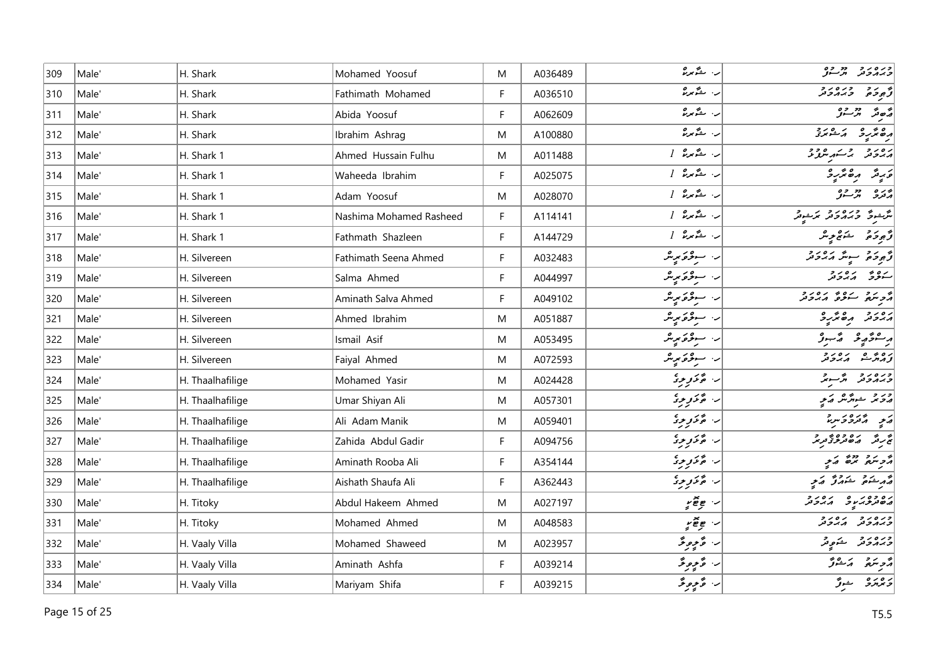| 309    | Male' | H. Shark         | Mohamed Yoosuf          | M           | A036489 | ر . ڪُمبررا                   | כנים גם ביית.<br>בג'ונפיט וקל-ית                          |
|--------|-------|------------------|-------------------------|-------------|---------|-------------------------------|-----------------------------------------------------------|
| 310    | Male' | H. Shark         | Fathimath Mohamed       | $\mathsf F$ | A036510 | ر. شەھرىر                     | و بر ۵ بر و<br>تر بر بر تر<br>و محمد حرم<br>اقرام حرم     |
| 311    | Male' | H. Shark         | Abida Yoosuf            | F           | A062609 | ر، ڪُمبرڻ                     | ړُه تر در وو                                              |
| $ 312$ | Male' | H. Shark         | Ibrahim Ashrag          | M           | A100880 | ر، شَدَّىرِرْ                 | رەنزىر كەشىر                                              |
| 313    | Male' | H. Shark 1       | Ahmed Hussain Fulhu     | M           | A011488 | $1 \nvert 2 \nvert$ ر. ڪُمرين | رەر دېم دىكە ھەدىر<br>مەردىس باسكىرىلىرى                  |
| 314    | Male' | H. Shark 1       | Waheeda Ibrahim         | $\mathsf F$ | A025075 | 19.22                         | ءَ ٻير ره پر د                                            |
| 315    | Male' | H. Shark 1       | Adam Yoosuf             | M           | A028070 | $1222 -$                      | پوره دو ده<br>مرکزی مرسو                                  |
| 316    | Male' | H. Shark 1       | Nashima Mohamed Rasheed | F           | A114141 | $19.22$ - $\sim$              | شهر ورورو برجونه                                          |
| 317    | Male' | H. Shark 1       | Fathmath Shazleen       | F           | A144729 | $1222 -$                      | ژ <sub>م</sub> ودَهْ ځنگړمپر                              |
| 318    | Male' | H. Silvereen     | Fathimath Seena Ahmed   | F.          | A032483 | ر، سوۋە ئويۇر                 | تو د د سوس پره د د                                        |
| 319    | Male' | H. Silvereen     | Salma Ahmed             | F           | A044997 | ر. سوۋە ئېرىگە                | ستوفز أزرور                                               |
| 320    | Male' | H. Silvereen     | Aminath Salva Ahmed     | E           | A049102 | ر. سوۋە ئېرىش                 | د و سره ده و دره در و                                     |
| 321    | Male' | H. Silvereen     | Ahmed Ibrahim           | M           | A051887 | ر. سوۋە ئېرىگە                | גפנק גם ביק                                               |
| 322    | Male' | H. Silvereen     | Ismail Asif             | M           | A053495 | ر. سوۋۇپرىد                   | رە ئەدەب ئەسور                                            |
| 323    | Male' | H. Silvereen     | Faiyal Ahmed            | M           | A072593 | ر. سوۋە ئېرىش                 | رەپر رەرد                                                 |
| 324    | Male' | H. Thaalhafilige | Mohamed Yasir           | M           | A024428 | ر. ئۇنزورگ                    | ورەرو ئۆسىر                                               |
| 325    | Male' | H. Thaalhafilige | Umar Shiyan Ali         | M           | A057301 | ر. ئۇنزىرىدى                  | در در در مورگر کرد                                        |
| 326    | Male' | H. Thaalhafilige | Ali Adam Manik          | M           | A059401 | <br> - ئۇنزىرىرى              | ג׳בְ ג׳ני ביתו                                            |
| 327    | Male' | H. Thaalhafilige | Zahida Abdul Gadir      | F           | A094756 | ر. ځونو ور                    | ر و ده و ده در د کندند کند.<br>منج برنگر می هام در در کند |
| 328    | Male' | H. Thaalhafilige | Aminath Rooba Ali       | F.          | A354144 | را ځونو ورگا                  |                                                           |
| 329    | Male' | H. Thaalhafilige | Aishath Shaufa Ali      | F.          | A362443 | ر. ئۇنزود                     | ړُ د شکاهي اشکار د کار د کړ                               |
| 330    | Male' | H. Titoky        | Abdul Hakeem Ahmed      | M           | A027197 | ر. جغ                         | גפרפג'ים גם גר<br>גם <i>נקבג'י</i> ם ג'יקט                |
| 331    | Male' | H. Titoky        | Mohamed Ahmed           | M           | A048583 | ر. ھ§ر                        | כנסנכ נסנכ                                                |
| 332    | Male' | H. Vaaly Villa   | Mohamed Shaweed         | M           | A023957 | ر، <sub>قە</sub> مورۇ         | ورەرو شەرەر                                               |
| 333    | Male' | H. Vaaly Villa   | Aminath Ashfa           | F.          | A039214 | ر. قُرُورتُرُ                 | ړې سره پر د شور                                           |
| 334    | Male' | H. Vaaly Villa   | Mariyam Shifa           | $\mathsf F$ | A039215 | ر . قَ وِهِ وَّ               | ترەرە ھەتى                                                |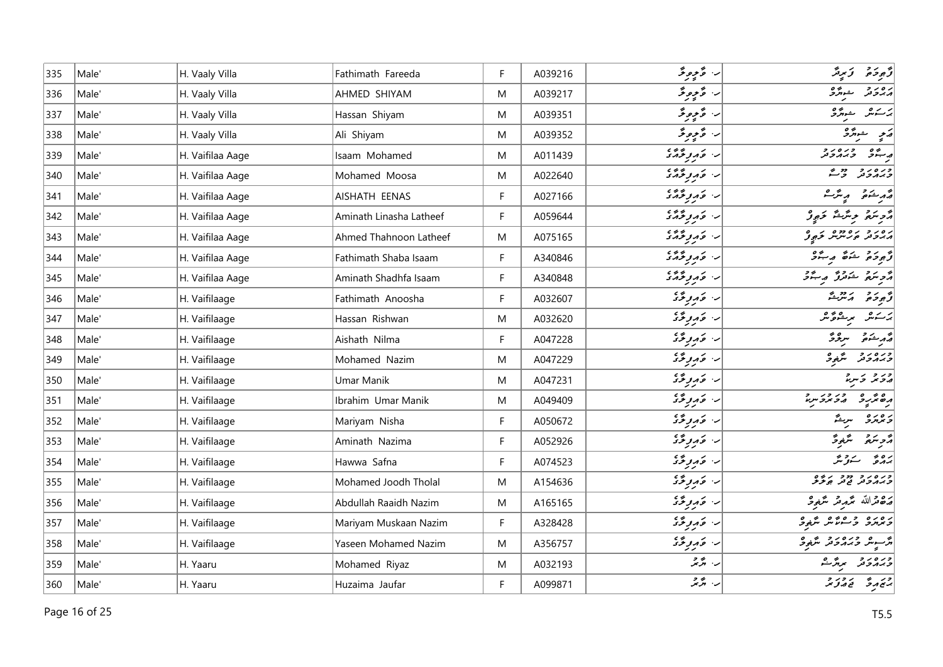| 335 | Male' | H. Vaaly Villa   | Fathimath Fareeda       | F           | A039216 | ر. د څوه د څ             | وتموذة وتبدئه                                                                                                                               |
|-----|-------|------------------|-------------------------|-------------|---------|--------------------------|---------------------------------------------------------------------------------------------------------------------------------------------|
| 336 | Male' | H. Vaaly Villa   | AHMED SHIYAM            | M           | A039217 |                          | ره رو شوده.<br> پرچونر شودگرد                                                                                                               |
| 337 | Male' | H. Vaaly Villa   | Hassan Shiyam           | M           | A039351 | ر. گەرپەرگە              | ىز كەش ھەردى<br>م                                                                                                                           |
| 338 | Male' | H. Vaaly Villa   | Ali Shiyam              | M           | A039352 |                          | $\begin{vmatrix} 0 & \frac{\sqrt{3}}{2} & \frac{\sqrt{3}}{2} \\ \frac{\sqrt{3}}{2} & \frac{\sqrt{3}}{2} & \frac{\sqrt{3}}{2} \end{vmatrix}$ |
| 339 | Male' | H. Vaifilaa Aage | Isaam Mohamed           | M           | A011439 | ر . غه د د ده            | و ره ر و<br><i>د بر</i> د تر<br>لوستوح                                                                                                      |
| 340 | Male' | H. Vaifilaa Aage | Mohamed Moosa           | M           | A022640 | ر أوروپي                 | ورەر دوغ                                                                                                                                    |
| 341 | Male' | H. Vaifilaa Aage | AISHATH EENAS           | F           | A027166 | ر ، ەگە ۋېچە ئ           | وكرمشكي بريثر                                                                                                                               |
| 342 | Male' | H. Vaifilaa Aage | Aminath Linasha Latheef | F           | A059644 | ر که د د ده              | أأديته ويتبث ووو                                                                                                                            |
| 343 | Male' | H. Vaifilaa Aage | Ahmed Thahnoon Latheef  | M           | A075165 | ر نورو ژوئ               | ر و د و د و ده و د و و<br>م.دوند ورسرس ترج <sub>ی</sub> و                                                                                   |
| 344 | Male' | H. Vaifilaa Aage | Fathimath Shaba Isaam   | F           | A340846 | ر. ئەروپچە ئ             | توجوحو خوص وبكو                                                                                                                             |
| 345 | Male' | H. Vaifilaa Aage | Aminath Shadhfa Isaam   | F           | A340848 | ~ ءَروِ دُمَّدُ          | أترجم المحمد والمستحر                                                                                                                       |
| 346 | Male' | H. Vaifilaage    | Fathimath Anoosha       | F           | A032607 | ر. ئەروپۇتى              | ژوده متر                                                                                                                                    |
| 347 | Male' | H. Vaifilaage    | Hassan Rishwan          | M           | A032620 | ر. ئەرىرىتى              | ىرىكىش برىشۇش                                                                                                                               |
| 348 | Male' | H. Vaifilaage    | Aishath Nilma           | $\mathsf F$ | A047228 | ر ، ئەروپچى              | أقهر شكاة المسرورة                                                                                                                          |
| 349 | Male' | H. Vaifilaage    | Mohamed Nazim           | M           | A047229 | ر ، ئەرىرىگى             | ورەرو شەر                                                                                                                                   |
| 350 | Male' | H. Vaifilaage    | <b>Umar Manik</b>       | M           | A047231 | ر ، ءَ پروگ <sup>ي</sup> | ودير وسرة                                                                                                                                   |
| 351 | Male' | H. Vaifilaage    | Ibrahim Umar Manik      | M           | A049409 | ر. ئەرىرىتى              | ת לה הבינבית                                                                                                                                |
| 352 | Male' | H. Vaifilaage    | Mariyam Nisha           | F           | A050672 | ر. ئەرىرىتى              | ترەرە سرىقە                                                                                                                                 |
| 353 | Male' | H. Vaifilaage    | Aminath Nazima          | $\mathsf F$ | A052926 | ر. ئەرىرىچى              | أرمز<br>سَّرْهُ رَ                                                                                                                          |
| 354 | Male' | H. Vaifilaage    | Hawwa Safna             | $\mathsf F$ | A074523 | ر. ئەرىرىتى              | برە ئەسكىۋىتر                                                                                                                               |
| 355 | Male' | H. Vaifilaage    | Mohamed Joodh Tholal    | M           | A154636 | ر ئەروپچى                | ور ہ ر د دد و ر ر ہ ہ<br>ح پر برح تر بح څرخه                                                                                                |
| 356 | Male' | H. Vaifilaage    | Abdullah Raaidh Nazim   | M           | A165165 | ر که دون                 | أرَحْمْدَاللَّهُ مُدَّمِرِ مَرْ مُرْمَوِدْ                                                                                                  |
| 357 | Male' | H. Vaifilaage    | Mariyam Muskaan Nazim   | F           | A328428 | ر ، ءَ د و دُمَمَ        | ره ره د ۵۶۵ و ه.<br><i>د بر</i> برد و <i>سرنا</i> س سرد                                                                                     |
| 358 | Male' | H. Vaifilaage    | Yaseen Mohamed Nazim    | M           | A356757 | ر ، ئەروپۇ ئا            | أثر سور وبرود و محمود                                                                                                                       |
| 359 | Male' | H. Yaaru         | Mohamed Riyaz           | M           | A032193 | ر بود                    | ورەرو برېژگ                                                                                                                                 |
| 360 | Male' | H. Yaaru         | Huzaima Jaufar          | F           | A099871 | ر، پڑیز                  | $5152$ $592$                                                                                                                                |
|     |       |                  |                         |             |         |                          |                                                                                                                                             |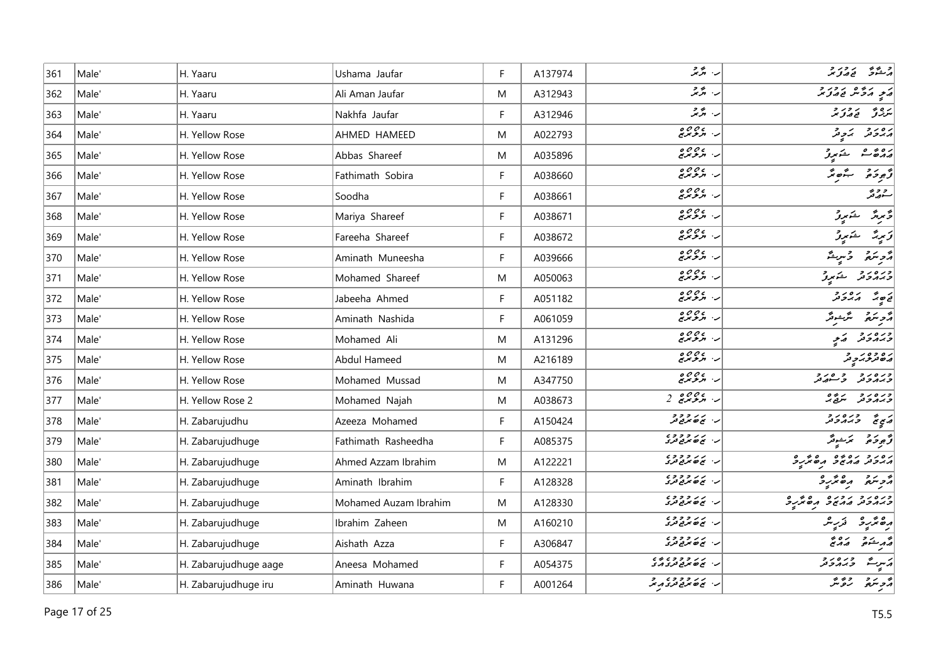| 361 | Male' | H. Yaaru              | Ushama Jaufar         | F  | A137974 | ر، پڑیز                                       | ویشی دورو                                       |
|-----|-------|-----------------------|-----------------------|----|---------|-----------------------------------------------|-------------------------------------------------|
| 362 | Male' | H. Yaaru              | Ali Aman Jaufar       | M  | A312943 | ر، مرتبر                                      | أيمانوا أيركن والمروا                           |
| 363 | Male' | H. Yaaru              | Nakhfa Jaufar         | F  | A312946 | ر، مرتبر                                      | يتروش الجامزي                                   |
| 364 | Male' | H. Yellow Rose        | AHMED HAMEED          | M  | A022793 | ر ، پره چې                                    | دەر د بروتر                                     |
| 365 | Male' | H. Yellow Rose        | Abbas Shareef         | M  | A035896 | ر ، مروج ه<br>ر . مروجري                      | رەپچە<br>ڪ موثر                                 |
| 366 | Male' | H. Yellow Rose        | Fathimath Sobira      | F  | A038660 | ה הממש<br>הי חיבות ב                          | سترە ئر<br>ۇ بور د                              |
| 367 | Male' | H. Yellow Rose        | Soodha                | F  | A038661 | ر به ۱۵۵۵<br>ر ۰ مرمومرج                      | ر د و بو<br>سنوړ تعر                            |
| 368 | Male' | H. Yellow Rose        | Mariya Shareef        | F  | A038671 | י הממם<br>יי חי <i>ב</i> ותים                 | ۇ برېژ<br>م<br>ڪ مور <sup>3</sup>               |
| 369 | Male' | H. Yellow Rose        | Fareeha Shareef       | F  | A038672 | ر ، پروژه ه                                   | ۇلىر شىرۇ                                       |
| 370 | Male' | H. Yellow Rose        | Aminath Muneesha      | F. | A039666 | ر ، پره چړه                                   | ړ څر سرچ<br>ر سريگر<br>تر                       |
| 371 | Male' | H. Yellow Rose        | Mohamed Shareef       | M  | A050063 | ر ، پره چې                                    | و ر ه ر د<br>تر پر ژ تر<br>شەمرۇ                |
| 372 | Male' | H. Yellow Rose        | Jabeeha Ahmed         | F  | A051182 | ر ، پروژه ه                                   | پروژی<br>ر<br>ج ھ پر                            |
| 373 | Male' | H. Yellow Rose        | Aminath Nashida       | F  | A061059 | ر به ۱۵۵۵<br>ر ۰ مرکومربع                     | أأدح سكرة التمر شوفد                            |
| 374 | Male' | H. Yellow Rose        | Mohamed Ali           | M  | A131296 | ر . הממים<br>ג . <b>ת</b> יביבים              | ورەرو كې                                        |
| 375 | Male' | H. Yellow Rose        | Abdul Hameed          | M  | A216189 | ر ، بود جوړه<br>ر ، بود جوینې                 | ر ۵ و ۵ د ر و                                   |
| 376 | Male' | H. Yellow Rose        | Mohamed Mussad        | M  | A347750 | ر ، مروج ه<br>ر . مروجري                      | و عصر و<br>مرگور تعر<br>و ر ه ر د<br>تر پر ژ تر |
| 377 | Male' | H. Yellow Rose 2      | Mohamed Najah         | M  | A038673 | 29000                                         | و ره ر و<br>تر پر تر تر<br>ىترقى تر             |
| 378 | Male' | H. Zabarujudhu        | Azeeza Mohamed        | F. | A150424 | ر به سرح حرم د<br>ر به سرح فر                 | و رە ر د<br><i>د ب</i> رگرىز<br>لەي ئى          |
| 379 | Male' | H. Zabarujudhuge      | Fathimath Rasheedha   | F  | A085375 | ر به رو و و د<br>ر به نی تکه تری              | رُّمِودَةٌ يَرَجُونَّهُ                         |
| 380 | Male' | H. Zabarujudhuge      | Ahmed Azzam Ibrahim   | M  | A122221 | ر به سر و و و ء<br>ر به سخ تص بحربی           | גם גם גם כם השתיכ                               |
| 381 | Male' | H. Zabarujudhuge      | Aminath Ibrahim       | F  | A128328 | ر د د و د و د<br>ر به نی که نیز بی تری        | ومحر المتعارج                                   |
| 382 | Male' | H. Zabarujudhuge      | Mohamed Auzam Ibrahim | M  | A128330 | ر به سر و و و ء<br>ر به سخ حه موری            | כנסנד גדנם בסיבים<br>בגתכת ההשכ הסיביב          |
| 383 | Male' | H. Zabarujudhuge      | Ibrahim Zaheen        | M  | A160210 | ر به رو و و د<br>ر به نی تکه تری              | ە ھەترىر 2<br>س<br>فرريثر                       |
| 384 | Male' | H. Zabarujudhuge      | Aishath Azza          | F  | A306847 | ر به رو و و و د<br>ر به سخ ه بنور تو توری     | أشهر شده و                                      |
| 385 | Male' | H. Zabarujudhuge aage | Aneesa Mohamed        | F. | A054375 | ر در د د د د د د د<br>ر به سخ ته سر د بر د بر | و ر ه ر د<br>تر پر ژ تر<br>ړس <sub>و</sub> ته   |
| 386 | Male' | H. Zabarujudhuge iru  | Aminath Huwana        | F  | A001264 | ر سر د د د د د د<br>ر سي نه مربع تر د مر      | ړ ده ده پر                                      |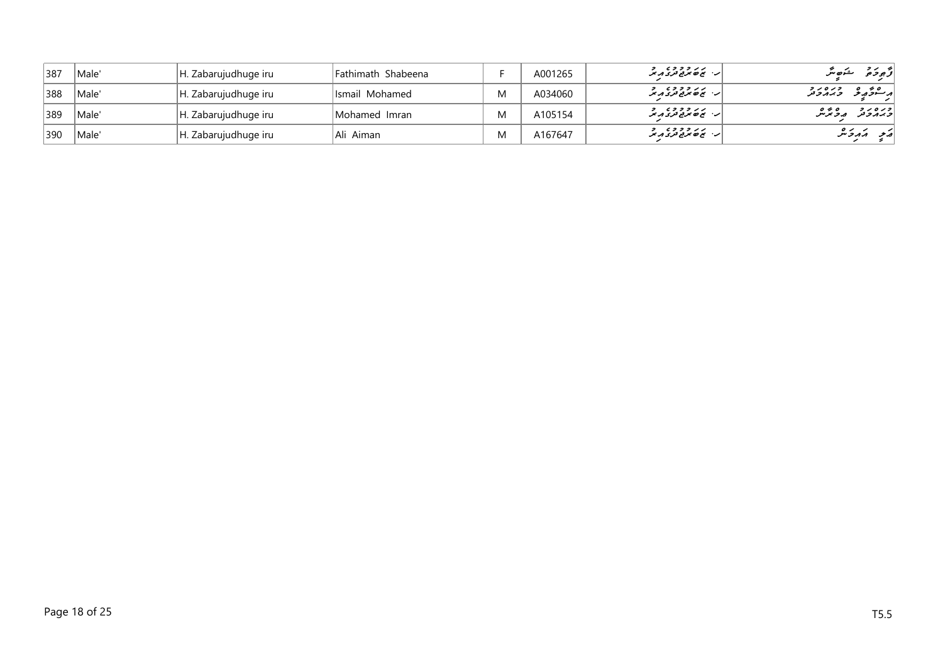| 387           | lMale' | H. Zabarujudhuge iru | Fathimath Shabeena |   | A001265 | ر ، پره و و ه ، م و<br>  ر ، نج <i>ه برقع تری پر ب</i> ر | $\sim$ $\sim$<br>سنتون سگر<br>وجوحرح |
|---------------|--------|----------------------|--------------------|---|---------|----------------------------------------------------------|--------------------------------------|
| 388           | Male'  | H. Zabarujudhuge iru | Ismail Mohamed     | M | A034060 | ر ، پره و و ه ، م و<br>  ر ، نج <i>ه برقع تری پر ب</i> ر | در عرض وره در د                      |
| $ 389\rangle$ | Male'  | H. Zabarujudhuge iru | Mohamed Imran      | M | A105154 | ر ، پره و و ه ، م و<br>  ر ، نج <i>ه برقع تری پر ب</i> ر | כממכנה סמס                           |
| 390           | Male'  | H. Zabarujudhuge iru | Ali Aiman          | M | A167647 | ر ، پره و و ه ، م و<br>  ر ، نج <i>ه برقع تری پر ب</i> ر | ړ د درخپ                             |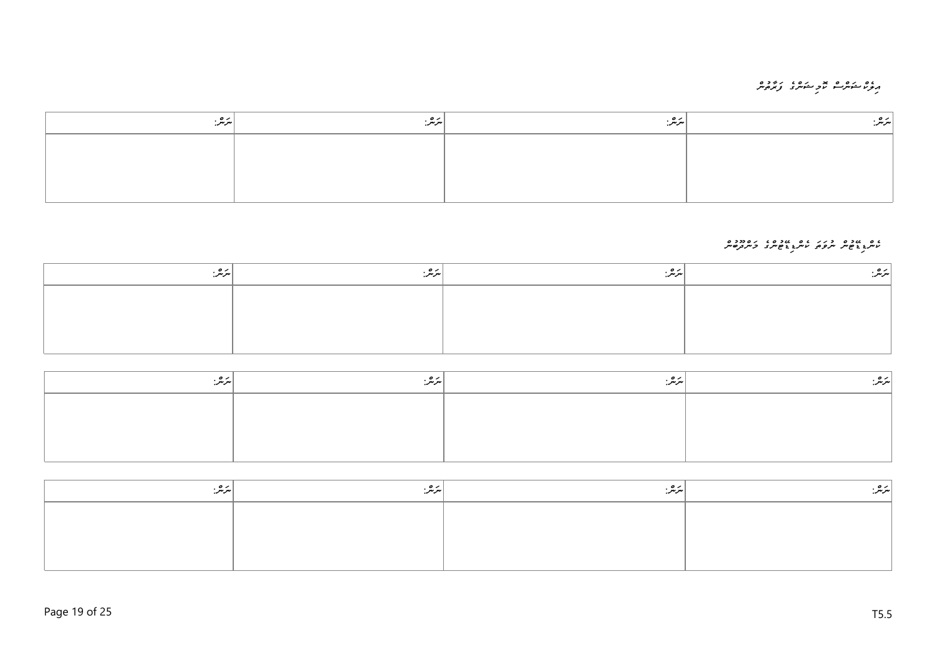## *w7qAn8m?sCw7mRo>u;wEw7mRw;sBo<*

| ' مرمر | 'يئرىثر: |
|--------|----------|
|        |          |
|        |          |
|        |          |

## *w7q9r@w7m>sCw7qHtFoFw7s;mAm=q7w7qHtFoFw7s;*

| يئرمىش: | $^{\circ}$<br>. سر سر<br>$\cdot$ | $\circ$ $\sim$<br>-- | يئرمثر |
|---------|----------------------------------|----------------------|--------|
|         |                                  |                      |        |
|         |                                  |                      |        |
|         |                                  |                      |        |

| $\frac{2}{n}$ | $^{\circ}$ | $\frac{2}{n}$ | $^{\circ}$<br>سرسر. |
|---------------|------------|---------------|---------------------|
|               |            |               |                     |
|               |            |               |                     |
|               |            |               |                     |

| ىرتىر: | 。<br>سر سر | .,<br>مرسر |
|--------|------------|------------|
|        |            |            |
|        |            |            |
|        |            |            |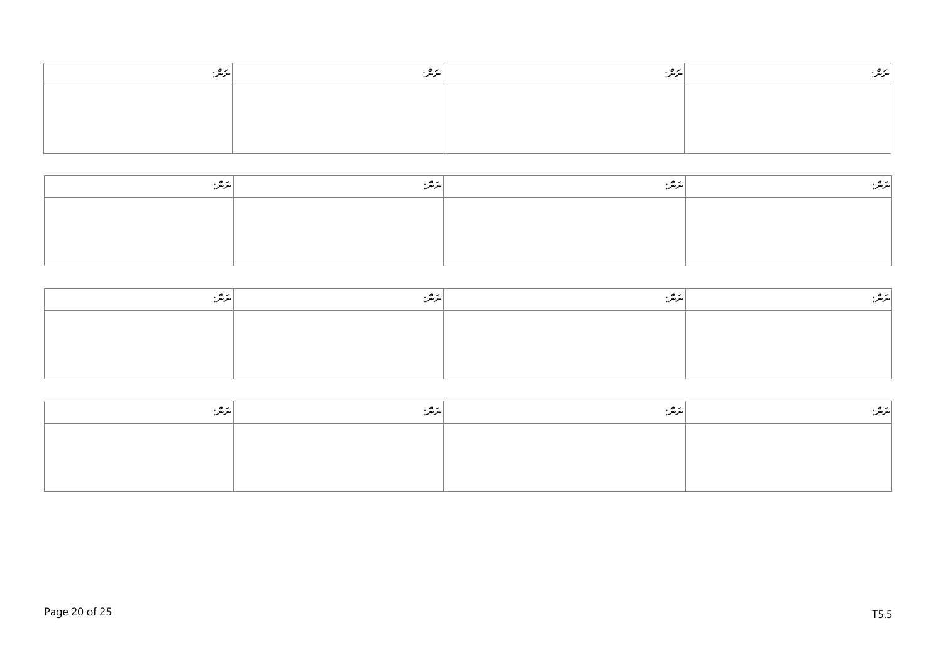| ىزىتر: | $\cdot$ | ىئرىتر: |  |
|--------|---------|---------|--|
|        |         |         |  |
|        |         |         |  |
|        |         |         |  |

| <sup>.</sup> سرسر. |  |
|--------------------|--|
|                    |  |
|                    |  |
|                    |  |

| ىرتىر: | $\sim$ | ا بر هه. | لىرىش |
|--------|--------|----------|-------|
|        |        |          |       |
|        |        |          |       |
|        |        |          |       |

| 。<br>مرس. | $\overline{\phantom{a}}$<br>مر سر | يتريثر |
|-----------|-----------------------------------|--------|
|           |                                   |        |
|           |                                   |        |
|           |                                   |        |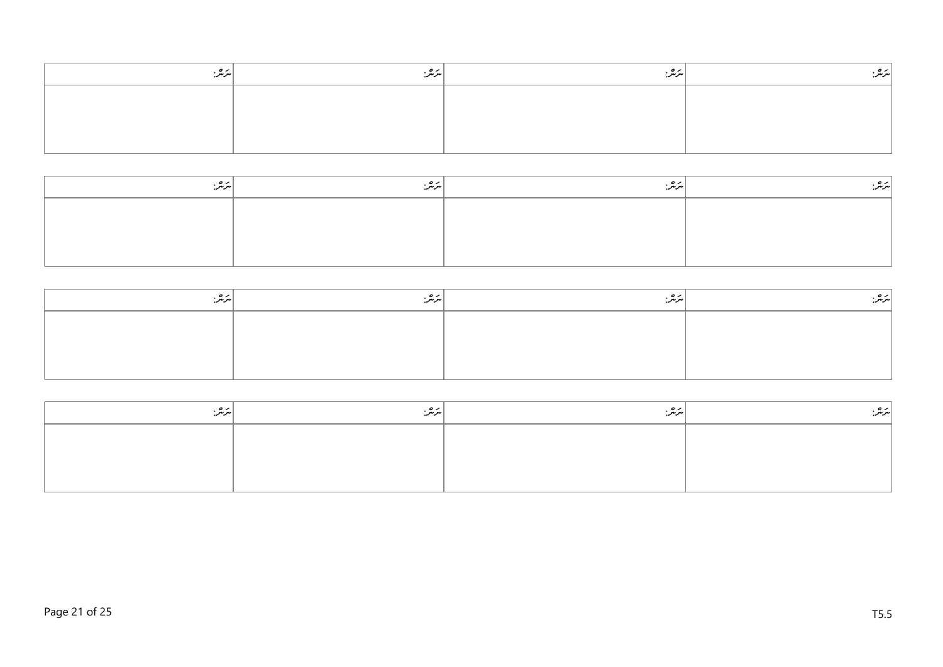| ير هو . | $\overline{\phantom{a}}$ | يرمر | اير هنه. |
|---------|--------------------------|------|----------|
|         |                          |      |          |
|         |                          |      |          |
|         |                          |      |          |

| ىر تىر: | $\circ$ $\sim$<br>" سرسر . | يترمير | o . |
|---------|----------------------------|--------|-----|
|         |                            |        |     |
|         |                            |        |     |
|         |                            |        |     |

| 'تترنثر: | ر ه |  |
|----------|-----|--|
|          |     |  |
|          |     |  |
|          |     |  |

|  | . ه |
|--|-----|
|  |     |
|  |     |
|  |     |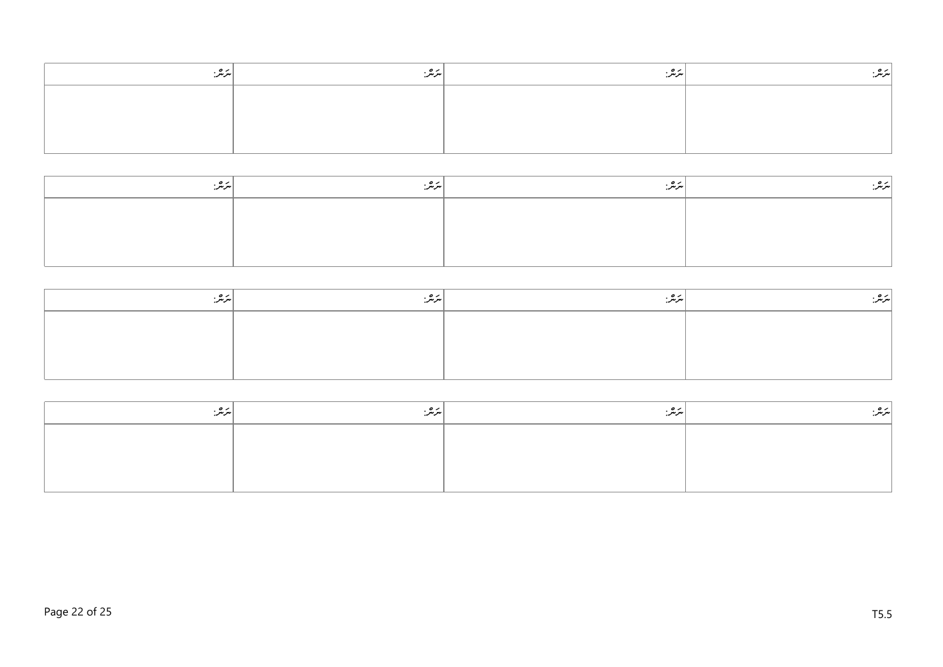| ير هو . | $\overline{\phantom{a}}$ | يرمر | اير هنه. |
|---------|--------------------------|------|----------|
|         |                          |      |          |
|         |                          |      |          |
|         |                          |      |          |

| ىر تىر: | $\circ$ $\sim$<br>" سرسر . | يترمير | o . |
|---------|----------------------------|--------|-----|
|         |                            |        |     |
|         |                            |        |     |
|         |                            |        |     |

| 'تترنثر: | ر ه |  |
|----------|-----|--|
|          |     |  |
|          |     |  |
|          |     |  |

|  | . ه |
|--|-----|
|  |     |
|  |     |
|  |     |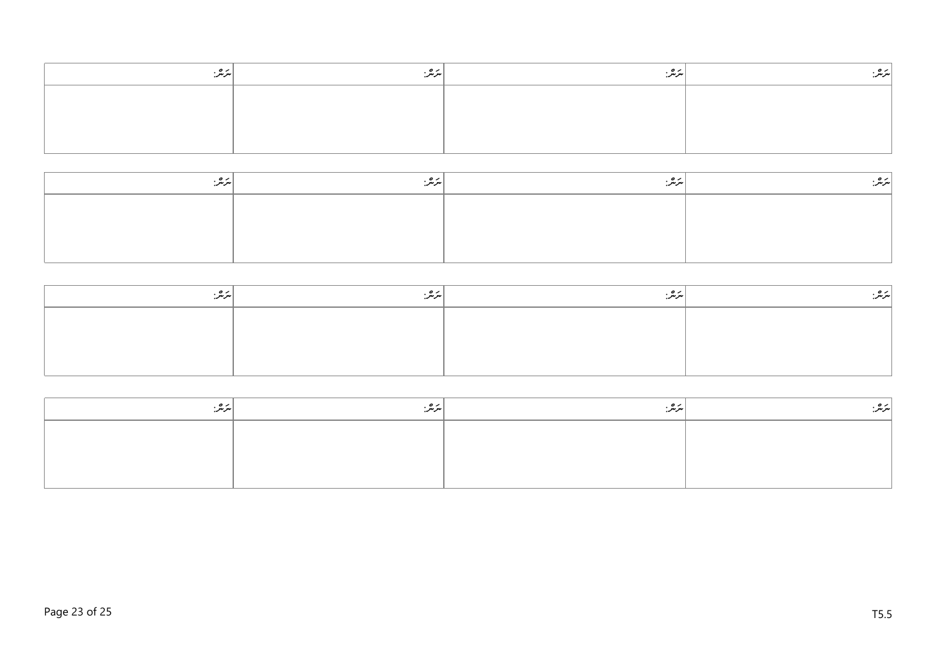| $\cdot$ | 。 | $\frac{\circ}{\cdot}$ | $\sim$<br>سرسر |
|---------|---|-----------------------|----------------|
|         |   |                       |                |
|         |   |                       |                |
|         |   |                       |                |

| ايرعر: | ر ه<br>. . |  |
|--------|------------|--|
|        |            |  |
|        |            |  |
|        |            |  |

| بر ه | . ه | $\sim$<br>سرسر |  |
|------|-----|----------------|--|
|      |     |                |  |
|      |     |                |  |
|      |     |                |  |

| 。<br>. س | ىرىىر |  |
|----------|-------|--|
|          |       |  |
|          |       |  |
|          |       |  |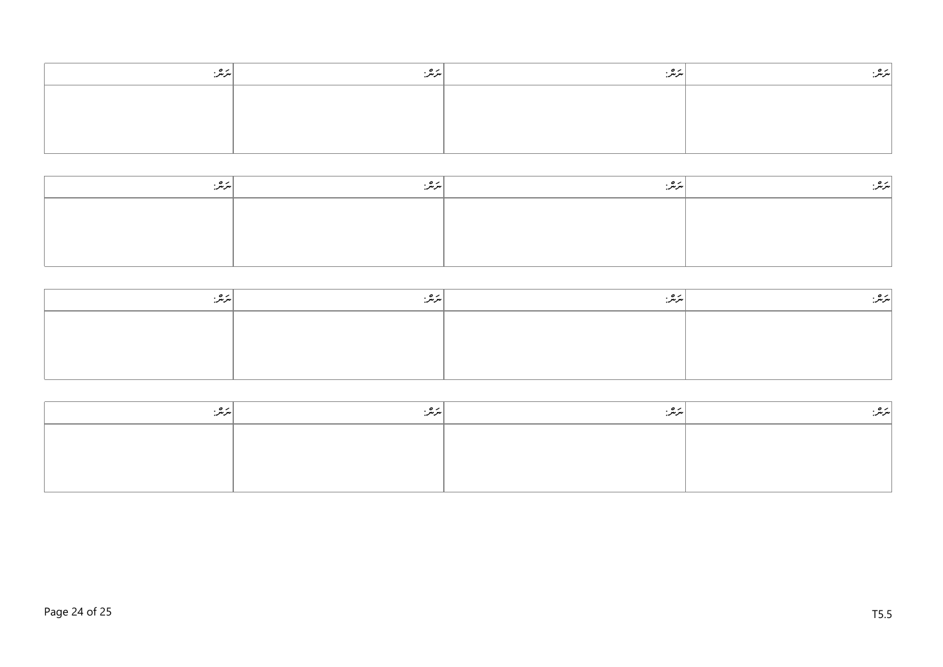| ير هو . | $\overline{\phantom{a}}$ | يرمر | اير هنه. |
|---------|--------------------------|------|----------|
|         |                          |      |          |
|         |                          |      |          |
|         |                          |      |          |

| ىر تىر: | $\circ$ $\sim$<br>" سرسر . | يترمير | o . |
|---------|----------------------------|--------|-----|
|         |                            |        |     |
|         |                            |        |     |
|         |                            |        |     |

| الترنثر: | ' مرتكز: | الترنثر: | .,<br>سرس. |
|----------|----------|----------|------------|
|          |          |          |            |
|          |          |          |            |
|          |          |          |            |

|  | . ه |
|--|-----|
|  |     |
|  |     |
|  |     |